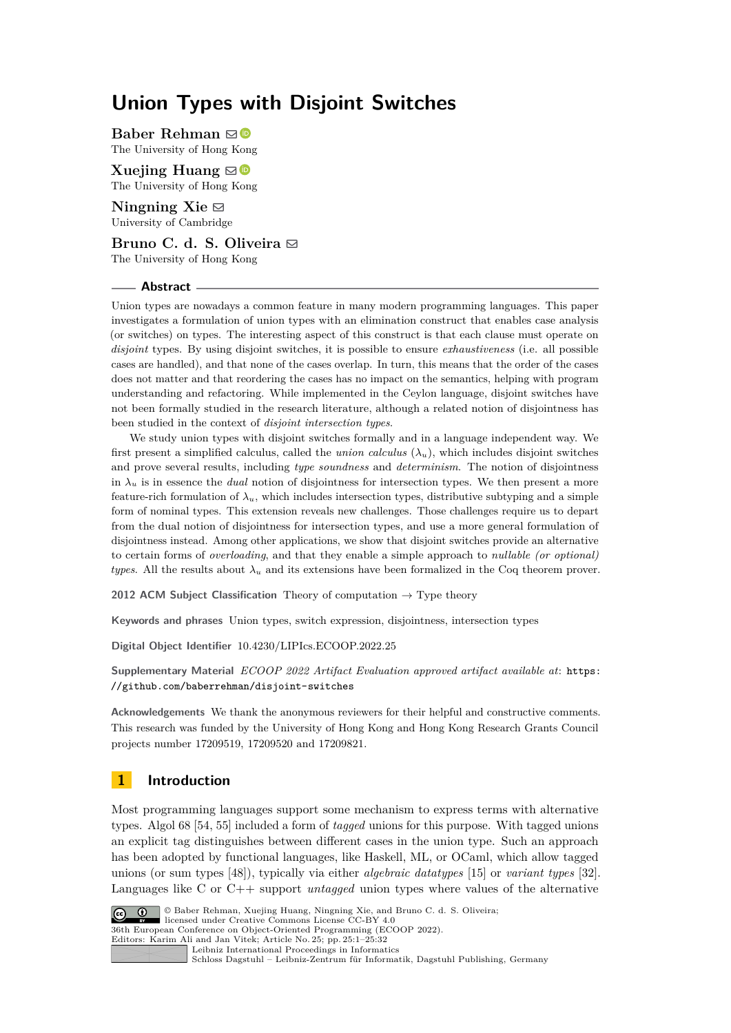# **Union Types with Disjoint Switches**

**Baber Rehman** [!](mailto:baber@cs.hku.hk) The University of Hong Kong

**Xuejing Huang** ⊠<sup>®</sup> The University of Hong Kong

Ningning Xie **⊠** University of Cambridge

**Bruno C. d. S. Oliveira** [!](mailto:bruno@cs.hku.hk) The University of Hong Kong

#### **Abstract**

Union types are nowadays a common feature in many modern programming languages. This paper investigates a formulation of union types with an elimination construct that enables case analysis (or switches) on types. The interesting aspect of this construct is that each clause must operate on *disjoint* types. By using disjoint switches, it is possible to ensure *exhaustiveness* (i.e. all possible cases are handled), and that none of the cases overlap. In turn, this means that the order of the cases does not matter and that reordering the cases has no impact on the semantics, helping with program understanding and refactoring. While implemented in the Ceylon language, disjoint switches have not been formally studied in the research literature, although a related notion of disjointness has been studied in the context of *disjoint intersection types*.

We study union types with disjoint switches formally and in a language independent way. We first present a simplified calculus, called the *union calculus*  $(\lambda_u)$ , which includes disjoint switches and prove several results, including *type soundness* and *determinism*. The notion of disjointness in  $\lambda_u$  is in essence the *dual* notion of disjointness for intersection types. We then present a more feature-rich formulation of  $\lambda_u$ , which includes intersection types, distributive subtyping and a simple form of nominal types. This extension reveals new challenges. Those challenges require us to depart from the dual notion of disjointness for intersection types, and use a more general formulation of disjointness instead. Among other applications, we show that disjoint switches provide an alternative to certain forms of *overloading*, and that they enable a simple approach to *nullable (or optional) types*. All the results about  $\lambda_u$  and its extensions have been formalized in the Coq theorem prover.

**2012 ACM Subject Classification** Theory of computation → Type theory

**Keywords and phrases** Union types, switch expression, disjointness, intersection types

**Digital Object Identifier** [10.4230/LIPIcs.ECOOP.2022.25](https://doi.org/10.4230/LIPIcs.ECOOP.2022.25)

**Supplementary Material** *ECOOP 2022 Artifact Evaluation approved artifact available at*: [https:](https://github.com/baberrehman/disjoint-switches) [//github.com/baberrehman/disjoint-switches](https://github.com/baberrehman/disjoint-switches)

**Acknowledgements** We thank the anonymous reviewers for their helpful and constructive comments. This research was funded by the University of Hong Kong and Hong Kong Research Grants Council projects number 17209519, 17209520 and 17209821.

# **1 Introduction**

Most programming languages support some mechanism to express terms with alternative types. Algol 68 [\[54,](#page-27-0) [55\]](#page-27-1) included a form of *tagged* unions for this purpose. With tagged unions an explicit tag distinguishes between different cases in the union type. Such an approach has been adopted by functional languages, like Haskell, ML, or OCaml, which allow tagged unions (or sum types [\[48\]](#page-27-2)), typically via either *algebraic datatypes* [\[15\]](#page-25-0) or *variant types* [\[32\]](#page-26-0). Languages like C or C++ support *untagged* union types where values of the alternative



© Baber Rehman, Xuejing Huang, Ningning Xie, and Bruno C. d. S. Oliveira; licensed under Creative Commons License CC-BY 4.0 36th European Conference on Object-Oriented Programming (ECOOP 2022). Editors: Karim Ali and Jan Vitek; Article No. 25; pp. 25:1–25:32 [Leibniz International Proceedings in Informatics](https://www.dagstuhl.de/lipics/)

[Schloss Dagstuhl – Leibniz-Zentrum für Informatik, Dagstuhl Publishing, Germany](https://www.dagstuhl.de)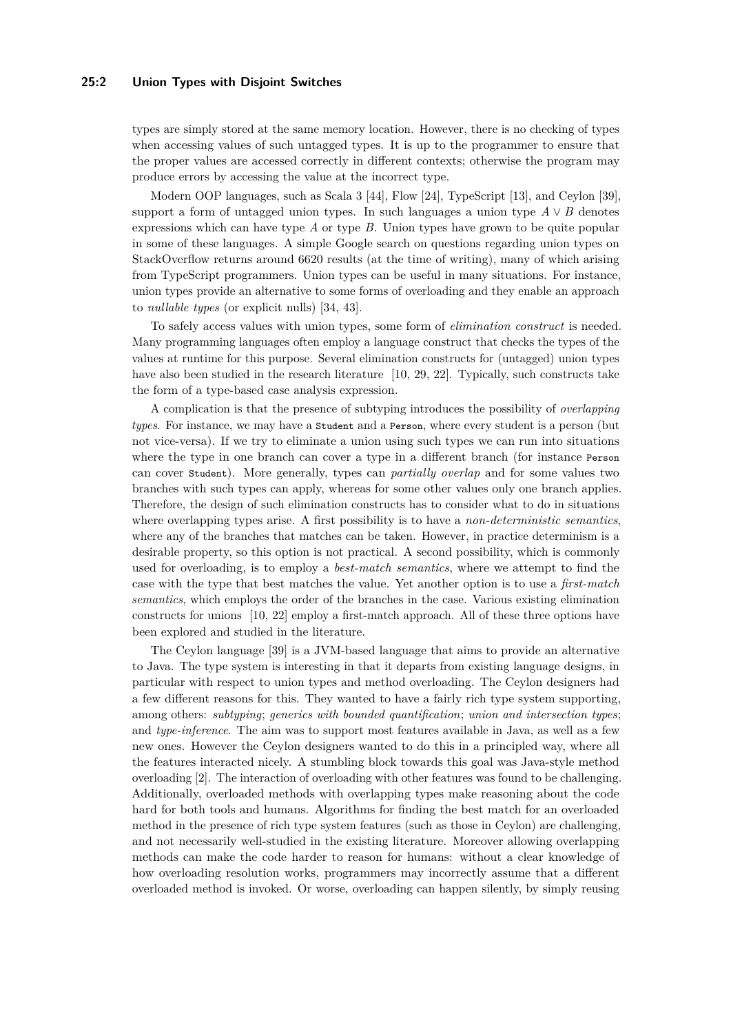#### **25:2 Union Types with Disjoint Switches**

types are simply stored at the same memory location. However, there is no checking of types when accessing values of such untagged types. It is up to the programmer to ensure that the proper values are accessed correctly in different contexts; otherwise the program may produce errors by accessing the value at the incorrect type.

Modern OOP languages, such as Scala 3 [\[44\]](#page-27-3), Flow [\[24\]](#page-26-1), TypeScript [\[13\]](#page-25-1), and Ceylon [\[39\]](#page-26-2), support a form of untagged union types. In such languages a union type  $A \vee B$  denotes expressions which can have type *A* or type *B*. Union types have grown to be quite popular in some of these languages. A simple Google search on questions regarding union types on StackOverflow returns around 6620 results (at the time of writing), many of which arising from TypeScript programmers. Union types can be useful in many situations. For instance, union types provide an alternative to some forms of overloading and they enable an approach to *nullable types* (or explicit nulls) [\[34,](#page-26-3) [43\]](#page-27-4).

To safely access values with union types, some form of *elimination construct* is needed. Many programming languages often employ a language construct that checks the types of the values at runtime for this purpose. Several elimination constructs for (untagged) union types have also been studied in the research literature [\[10,](#page-25-2) [29,](#page-26-4) [22\]](#page-26-5). Typically, such constructs take the form of a type-based case analysis expression.

A complication is that the presence of subtyping introduces the possibility of *overlapping types*. For instance, we may have a Student and a Person, where every student is a person (but not vice-versa). If we try to eliminate a union using such types we can run into situations where the type in one branch can cover a type in a different branch (for instance Person can cover Student). More generally, types can *partially overlap* and for some values two branches with such types can apply, whereas for some other values only one branch applies. Therefore, the design of such elimination constructs has to consider what to do in situations where overlapping types arise. A first possibility is to have a *non-deterministic semantics*, where any of the branches that matches can be taken. However, in practice determinism is a desirable property, so this option is not practical. A second possibility, which is commonly used for overloading, is to employ a *best-match semantics*, where we attempt to find the case with the type that best matches the value. Yet another option is to use a *first-match semantics*, which employs the order of the branches in the case. Various existing elimination constructs for unions [\[10,](#page-25-2) [22\]](#page-26-5) employ a first-match approach. All of these three options have been explored and studied in the literature.

The Ceylon language [\[39\]](#page-26-2) is a JVM-based language that aims to provide an alternative to Java. The type system is interesting in that it departs from existing language designs, in particular with respect to union types and method overloading. The Ceylon designers had a few different reasons for this. They wanted to have a fairly rich type system supporting, among others: *subtyping*; *generics with bounded quantification*; *union and intersection types*; and *type-inference*. The aim was to support most features available in Java, as well as a few new ones. However the Ceylon designers wanted to do this in a principled way, where all the features interacted nicely. A stumbling block towards this goal was Java-style method overloading [\[2\]](#page-25-3). The interaction of overloading with other features was found to be challenging. Additionally, overloaded methods with overlapping types make reasoning about the code hard for both tools and humans. Algorithms for finding the best match for an overloaded method in the presence of rich type system features (such as those in Ceylon) are challenging, and not necessarily well-studied in the existing literature. Moreover allowing overlapping methods can make the code harder to reason for humans: without a clear knowledge of how overloading resolution works, programmers may incorrectly assume that a different overloaded method is invoked. Or worse, overloading can happen silently, by simply reusing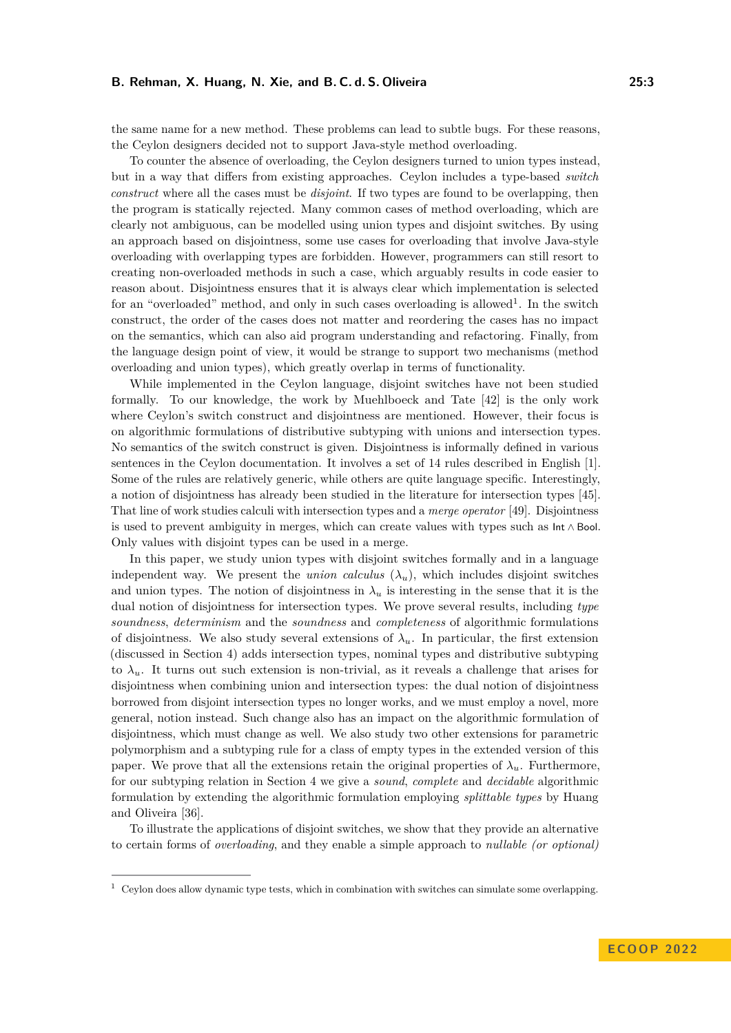the same name for a new method. These problems can lead to subtle bugs. For these reasons, the Ceylon designers decided not to support Java-style method overloading.

To counter the absence of overloading, the Ceylon designers turned to union types instead, but in a way that differs from existing approaches. Ceylon includes a type-based *switch construct* where all the cases must be *disjoint*. If two types are found to be overlapping, then the program is statically rejected. Many common cases of method overloading, which are clearly not ambiguous, can be modelled using union types and disjoint switches. By using an approach based on disjointness, some use cases for overloading that involve Java-style overloading with overlapping types are forbidden. However, programmers can still resort to creating non-overloaded methods in such a case, which arguably results in code easier to reason about. Disjointness ensures that it is always clear which implementation is selected for an "overloaded" method, and only in such cases overloading is allowed<sup>[1](#page-2-0)</sup>. In the switch construct, the order of the cases does not matter and reordering the cases has no impact on the semantics, which can also aid program understanding and refactoring. Finally, from the language design point of view, it would be strange to support two mechanisms (method overloading and union types), which greatly overlap in terms of functionality.

While implemented in the Ceylon language, disjoint switches have not been studied formally. To our knowledge, the work by Muehlboeck and Tate [\[42\]](#page-26-6) is the only work where Ceylon's switch construct and disjointness are mentioned. However, their focus is on algorithmic formulations of distributive subtyping with unions and intersection types. No semantics of the switch construct is given. Disjointness is informally defined in various sentences in the Ceylon documentation. It involves a set of 14 rules described in English [\[1\]](#page-25-4). Some of the rules are relatively generic, while others are quite language specific. Interestingly, a notion of disjointness has already been studied in the literature for intersection types [\[45\]](#page-27-5). That line of work studies calculi with intersection types and a *merge operator* [\[49\]](#page-27-6). Disjointness is used to prevent ambiguity in merges, which can create values with types such as Int ∧ Bool. Only values with disjoint types can be used in a merge.

In this paper, we study union types with disjoint switches formally and in a language independent way. We present the *union calculus*  $(\lambda_u)$ , which includes disjoint switches and union types. The notion of disjointness in  $\lambda_u$  is interesting in the sense that it is the dual notion of disjointness for intersection types. We prove several results, including *type soundness*, *determinism* and the *soundness* and *completeness* of algorithmic formulations of disjointness. We also study several extensions of  $\lambda_u$ . In particular, the first extension (discussed in Section [4\)](#page-15-0) adds intersection types, nominal types and distributive subtyping to  $\lambda_u$ . It turns out such extension is non-trivial, as it reveals a challenge that arises for disjointness when combining union and intersection types: the dual notion of disjointness borrowed from disjoint intersection types no longer works, and we must employ a novel, more general, notion instead. Such change also has an impact on the algorithmic formulation of disjointness, which must change as well. We also study two other extensions for parametric polymorphism and a subtyping rule for a class of empty types in the extended version of this paper. We prove that all the extensions retain the original properties of  $\lambda_u$ . Furthermore, for our subtyping relation in Section [4](#page-15-0) we give a *sound*, *complete* and *decidable* algorithmic formulation by extending the algorithmic formulation employing *splittable types* by Huang and Oliveira [\[36\]](#page-26-7).

To illustrate the applications of disjoint switches, we show that they provide an alternative to certain forms of *overloading*, and they enable a simple approach to *nullable (or optional)*

<span id="page-2-0"></span> $1$  Ceylon does allow dynamic type tests, which in combination with switches can simulate some overlapping.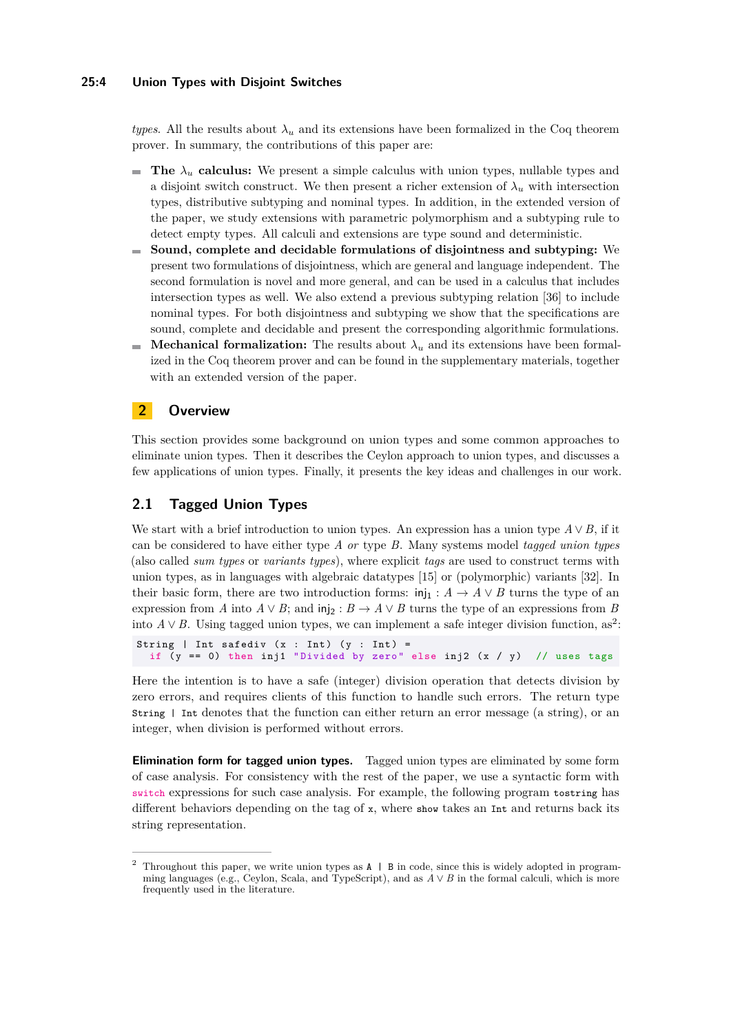#### **25:4 Union Types with Disjoint Switches**

*types*. All the results about  $\lambda_u$  and its extensions have been formalized in the Coq theorem prover. In summary, the contributions of this paper are:

- **The**  $\lambda_u$  **calculus:** We present a simple calculus with union types, nullable types and a disjoint switch construct. We then present a richer extension of  $\lambda_u$  with intersection types, distributive subtyping and nominal types. In addition, in the extended version of the paper, we study extensions with parametric polymorphism and a subtyping rule to detect empty types. All calculi and extensions are type sound and deterministic.
- **Sound, complete and decidable formulations of disjointness and subtyping:** We  $\mathcal{L}_{\mathcal{A}}$ present two formulations of disjointness, which are general and language independent. The second formulation is novel and more general, and can be used in a calculus that includes intersection types as well. We also extend a previous subtyping relation [\[36\]](#page-26-7) to include nominal types. For both disjointness and subtyping we show that the specifications are sound, complete and decidable and present the corresponding algorithmic formulations.
- **Mechanical formalization:** The results about  $\lambda_u$  and its extensions have been formalm. ized in the Coq theorem prover and can be found in the supplementary materials, together with an extended version of the paper.

# **2 Overview**

This section provides some background on union types and some common approaches to eliminate union types. Then it describes the Ceylon approach to union types, and discusses a few applications of union types. Finally, it presents the key ideas and challenges in our work.

# **2.1 Tagged Union Types**

We start with a brief introduction to union types. An expression has a union type  $A \vee B$ , if it can be considered to have either type *A or* type *B*. Many systems model *tagged union types* (also called *sum types* or *variants types*), where explicit *tags* are used to construct terms with union types, as in languages with algebraic datatypes [\[15\]](#page-25-0) or (polymorphic) variants [\[32\]](#page-26-0). In their basic form, there are two introduction forms:  $\text{inj}_1 : A \to A \lor B$  turns the type of an expression from *A* into  $A \vee B$ ; and inj<sub>2</sub> :  $B \to A \vee B$  turns the type of an expressions from *B* into  $A \vee B$ . Using tagged union types, we can implement a safe integer division function, as<sup>[2](#page-3-0)</sup>:

```
String | Int safediv (x : Int) (y : Int) =if (y = 0) then inj1 "Divided by zero" else inj2 (x / y) // uses tags
```
Here the intention is to have a safe (integer) division operation that detects division by zero errors, and requires clients of this function to handle such errors. The return type String | Int denotes that the function can either return an error message (a string), or an integer, when division is performed without errors.

**Elimination form for tagged union types.** Tagged union types are eliminated by some form of case analysis. For consistency with the rest of the paper, we use a syntactic form with switch expressions for such case analysis. For example, the following program tostring has different behaviors depending on the tag of x, where show takes an Int and returns back its string representation.

<span id="page-3-0"></span><sup>&</sup>lt;sup>2</sup> Throughout this paper, we write union types as  $A \mid B$  in code, since this is widely adopted in programming languages (e.g., Ceylon, Scala, and TypeScript), and as  $A \vee B$  in the formal calculi, which is more frequently used in the literature.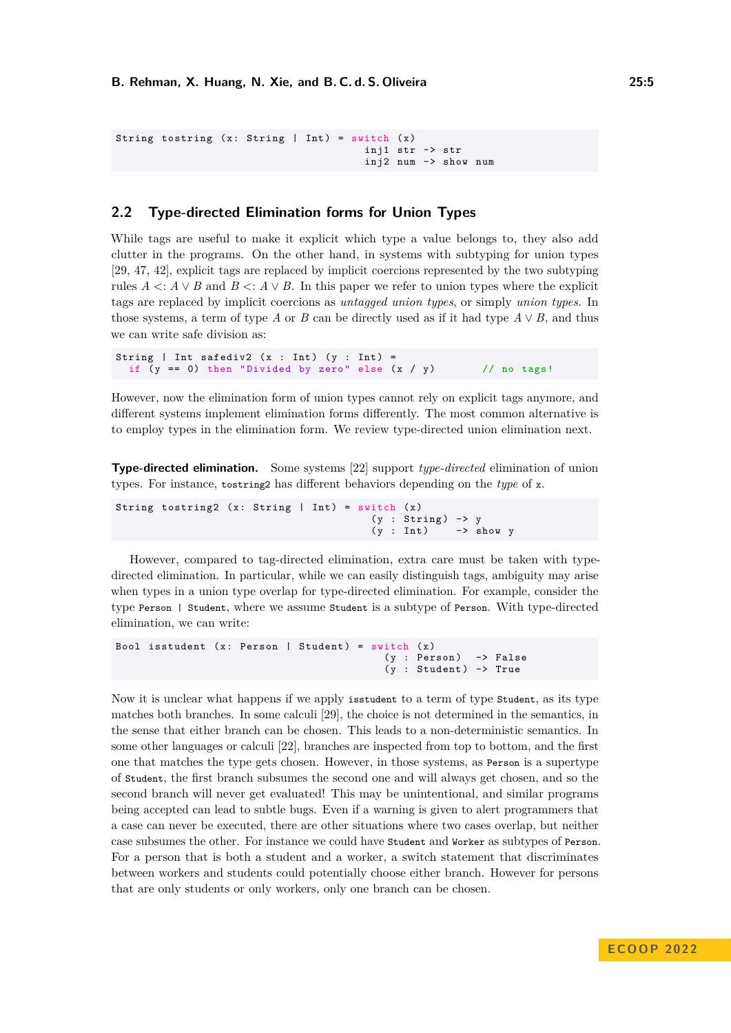```
String tostring (x: String | Int) = switch (x)inj1 str -> str
                                      inj2 num -> show num
```
# <span id="page-4-0"></span>**2.2 Type-directed Elimination forms for Union Types**

While tags are useful to make it explicit which type a value belongs to, they also add clutter in the programs. On the other hand, in systems with subtyping for union types [\[29,](#page-26-4) [47,](#page-27-7) [42\]](#page-26-6), explicit tags are replaced by implicit coercions represented by the two subtyping rules  $A \leq A \vee B$  and  $B \leq A \vee B$ . In this paper we refer to union types where the explicit tags are replaced by implicit coercions as *untagged union types*, or simply *union types*. In those systems, a term of type *A* or *B* can be directly used as if it had type  $A \vee B$ , and thus we can write safe division as:

```
String | Int safediv2 (x : Int) (y : Int) =if (y == 0) then "Divided by zero" else (x / y) // no tags!
```
However, now the elimination form of union types cannot rely on explicit tags anymore, and different systems implement elimination forms differently. The most common alternative is to employ types in the elimination form. We review type-directed union elimination next.

**Type-directed elimination.** Some systems [\[22\]](#page-26-5) support *type-directed* elimination of union types. For instance, tostring2 has different behaviors depending on the *type* of x.

```
String tostring2 (x: String | Int) = switch (x)(y : String) \rightarrow y(y : Int) -> show y
```
However, compared to tag-directed elimination, extra care must be taken with typedirected elimination. In particular, while we can easily distinguish tags, ambiguity may arise when types in a union type overlap for type-directed elimination. For example, consider the type Person | Student, where we assume Student is a subtype of Person. With type-directed elimination, we can write:

```
Bool isstudent (x: Person | Student) = switch (x)
                                          (y : Person) -> False
                                          (v : Student) -> True
```
Now it is unclear what happens if we apply isstudent to a term of type Student, as its type matches both branches. In some calculi [\[29\]](#page-26-4), the choice is not determined in the semantics, in the sense that either branch can be chosen. This leads to a non-deterministic semantics. In some other languages or calculi [\[22\]](#page-26-5), branches are inspected from top to bottom, and the first one that matches the type gets chosen. However, in those systems, as Person is a supertype of Student, the first branch subsumes the second one and will always get chosen, and so the second branch will never get evaluated! This may be unintentional, and similar programs being accepted can lead to subtle bugs. Even if a warning is given to alert programmers that a case can never be executed, there are other situations where two cases overlap, but neither case subsumes the other. For instance we could have Student and Worker as subtypes of Person. For a person that is both a student and a worker, a switch statement that discriminates between workers and students could potentially choose either branch. However for persons that are only students or only workers, only one branch can be chosen.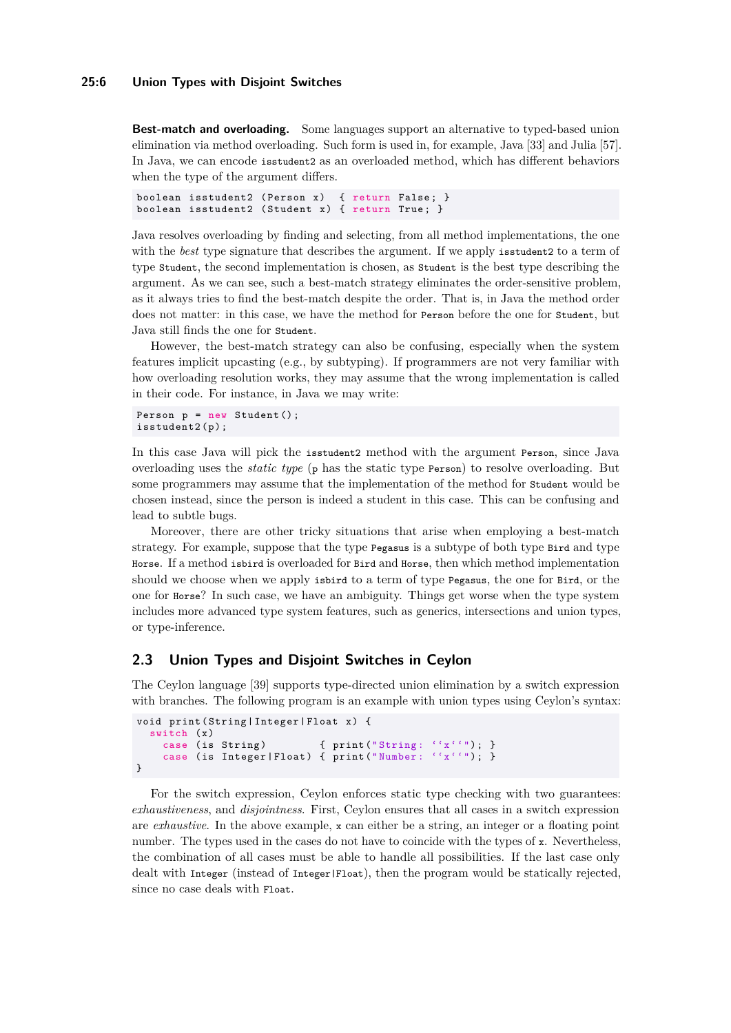**Best-match and overloading.** Some languages support an alternative to typed-based union elimination via method overloading. Such form is used in, for example, Java [\[33\]](#page-26-8) and Julia [\[57\]](#page-27-8). In Java, we can encode isstudent2 as an overloaded method, which has different behaviors when the type of the argument differs.

```
boolean isstudent2 (Person x) { return False; }
boolean isstudent2 (Student x) { return True; }
```
Java resolves overloading by finding and selecting, from all method implementations, the one with the *best* type signature that describes the argument. If we apply isstudent 2 to a term of type Student, the second implementation is chosen, as Student is the best type describing the argument. As we can see, such a best-match strategy eliminates the order-sensitive problem, as it always tries to find the best-match despite the order. That is, in Java the method order does not matter: in this case, we have the method for Person before the one for Student, but Java still finds the one for Student.

However, the best-match strategy can also be confusing, especially when the system features implicit upcasting (e.g., by subtyping). If programmers are not very familiar with how overloading resolution works, they may assume that the wrong implementation is called in their code. For instance, in Java we may write:

```
Person p = new Student();
isstudent2(p);
```
In this case Java will pick the isstudent2 method with the argument Person, since Java overloading uses the *static type* (p has the static type Person) to resolve overloading. But some programmers may assume that the implementation of the method for Student would be chosen instead, since the person is indeed a student in this case. This can be confusing and lead to subtle bugs.

Moreover, there are other tricky situations that arise when employing a best-match strategy. For example, suppose that the type Pegasus is a subtype of both type Bird and type Horse. If a method isbird is overloaded for Bird and Horse, then which method implementation should we choose when we apply isbird to a term of type Pegasus, the one for Bird, or the one for Horse? In such case, we have an ambiguity. Things get worse when the type system includes more advanced type system features, such as generics, intersections and union types, or type-inference.

## <span id="page-5-0"></span>**2.3 Union Types and Disjoint Switches in Ceylon**

The Ceylon language [\[39\]](#page-26-2) supports type-directed union elimination by a switch expression with branches. The following program is an example with union types using Ceylon's syntax:

```
void print ( String | Integer | Float x ) {
  switch (x)<br>case (is String)
                                  { print("String: '`x' '"); }
     case (is Integer | Float) { print ("Number: ''x''"); }
}
```
For the switch expression, Ceylon enforces static type checking with two guarantees: *exhaustiveness*, and *disjointness*. First, Ceylon ensures that all cases in a switch expression are *exhaustive*. In the above example, x can either be a string, an integer or a floating point number. The types used in the cases do not have to coincide with the types of x. Nevertheless, the combination of all cases must be able to handle all possibilities. If the last case only dealt with Integer (instead of Integer|Float), then the program would be statically rejected, since no case deals with Float.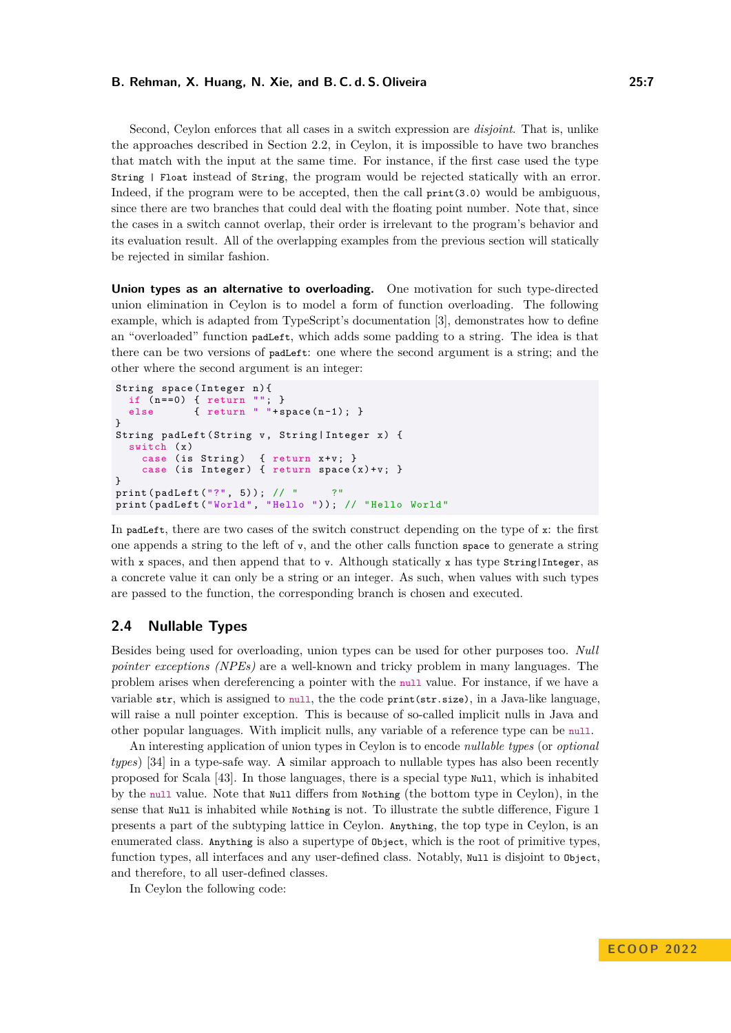Second, Ceylon enforces that all cases in a switch expression are *disjoint*. That is, unlike the approaches described in Section [2.2,](#page-4-0) in Ceylon, it is impossible to have two branches that match with the input at the same time. For instance, if the first case used the type String | Float instead of String, the program would be rejected statically with an error. Indeed, if the program were to be accepted, then the call print(3.0) would be ambiguous, since there are two branches that could deal with the floating point number. Note that, since the cases in a switch cannot overlap, their order is irrelevant to the program's behavior and its evaluation result. All of the overlapping examples from the previous section will statically be rejected in similar fashion.

**Union types as an alternative to overloading.** One motivation for such type-directed union elimination in Ceylon is to model a form of function overloading. The following example, which is adapted from TypeScript's documentation [\[3\]](#page-25-5), demonstrates how to define an "overloaded" function padLeft, which adds some padding to a string. The idea is that there can be two versions of padLeft: one where the second argument is a string; and the other where the second argument is an integer:

```
String space (Integer n) {
  if ( n ==0) { return ""; }
  else { return " "+space(n-1); }
}
String padLeft (String v, String | Integer x) {
  switch (x)case (is String) { return x+v; }
    case (is Integer) { return space(x)+v; }
}
print ( padLeft ( "? ", 5) ) ; // "?"
print (padLeft ("World", "Hello ")); // "Hello World"
```
In padLeft, there are two cases of the switch construct depending on the type of x: the first one appends a string to the left of  $v$ , and the other calls function space to generate a string with x spaces, and then append that to v. Although statically x has type  $\frac{1}{10}$ Integer, as a concrete value it can only be a string or an integer. As such, when values with such types are passed to the function, the corresponding branch is chosen and executed.

#### <span id="page-6-0"></span>**2.4 Nullable Types**

Besides being used for overloading, union types can be used for other purposes too. *Null pointer exceptions (NPEs)* are a well-known and tricky problem in many languages. The problem arises when dereferencing a pointer with the null value. For instance, if we have a variable str, which is assigned to null, the the code print(str.size), in a Java-like language, will raise a null pointer exception. This is because of so-called implicit nulls in Java and other popular languages. With implicit nulls, any variable of a reference type can be null.

An interesting application of union types in Ceylon is to encode *nullable types* (or *optional types*) [\[34\]](#page-26-3) in a type-safe way. A similar approach to nullable types has also been recently proposed for Scala [\[43\]](#page-27-4). In those languages, there is a special type Null, which is inhabited by the null value. Note that Null differs from Nothing (the bottom type in Ceylon), in the sense that Null is inhabited while Nothing is not. To illustrate the subtle difference, Figure [1](#page-7-0) presents a part of the subtyping lattice in Ceylon. Anything, the top type in Ceylon, is an enumerated class. Anything is also a supertype of Object, which is the root of primitive types, function types, all interfaces and any user-defined class. Notably, Null is disjoint to Object, and therefore, to all user-defined classes.

In Ceylon the following code: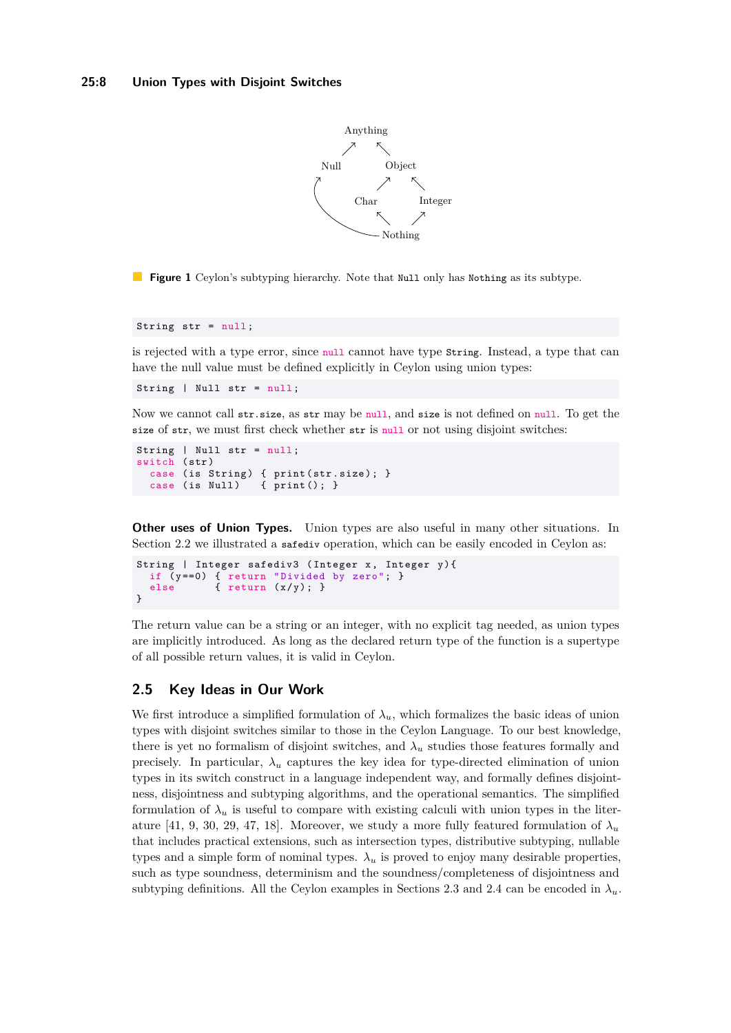

<span id="page-7-0"></span>**Figure 1** Ceylon's subtyping hierarchy. Note that Null only has Nothing as its subtype.

String str = null ;

is rejected with a type error, since null cannot have type String. Instead, a type that can have the null value must be defined explicitly in Ceylon using union types:

String | Null str = null ;

Now we cannot call str.size, as str may be null, and size is not defined on null. To get the size of str, we must first check whether str is null or not using disjoint switches:

```
String | Null str = null ;
switch ( str )
  case (is String) { print (str.size); }
  case (is Null) \{ print(); \}
```
**Other uses of Union Types.** Union types are also useful in many other situations. In Section [2.2](#page-4-0) we illustrated a safediv operation, which can be easily encoded in Ceylon as:

```
String | Integer safediv3 (Integer x, Integer y)\{if (y == 0) { return "Divided by zero"; }
  else { return (x/y); }
}
```
The return value can be a string or an integer, with no explicit tag needed, as union types are implicitly introduced. As long as the declared return type of the function is a supertype of all possible return values, it is valid in Ceylon.

# <span id="page-7-1"></span>**2.5 Key Ideas in Our Work**

We first introduce a simplified formulation of  $\lambda_u$ , which formalizes the basic ideas of union types with disjoint switches similar to those in the Ceylon Language. To our best knowledge, there is yet no formalism of disjoint switches, and  $\lambda_u$  studies those features formally and precisely. In particular,  $\lambda_u$  captures the key idea for type-directed elimination of union types in its switch construct in a language independent way, and formally defines disjointness, disjointness and subtyping algorithms, and the operational semantics. The simplified formulation of  $\lambda_u$  is useful to compare with existing calculi with union types in the liter-ature [\[41,](#page-26-9) [9,](#page-25-6) [30,](#page-26-10) [29,](#page-26-4) [47,](#page-27-7) [18\]](#page-25-7). Moreover, we study a more fully featured formulation of  $\lambda_u$ that includes practical extensions, such as intersection types, distributive subtyping, nullable types and a simple form of nominal types.  $\lambda_u$  is proved to enjoy many desirable properties, such as type soundness, determinism and the soundness/completeness of disjointness and subtyping definitions. All the Ceylon examples in Sections [2.3](#page-5-0) and [2.4](#page-6-0) can be encoded in  $\lambda_u$ .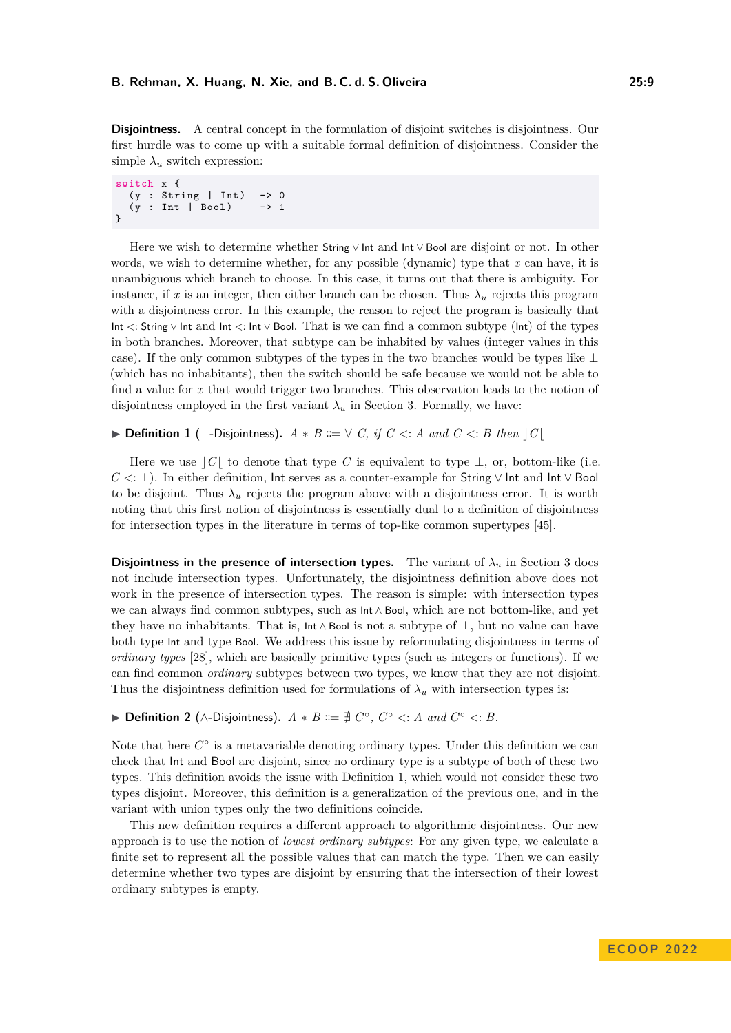**Disjointness.** A central concept in the formulation of disjoint switches is disjointness. Our first hurdle was to come up with a suitable formal definition of disjointness. Consider the simple  $\lambda_u$  switch expression:

```
switch x {
  (y : String | Int) \rightarrow 0(y : Int | Bool)
}
```
Here we wish to determine whether String ∨ Int and Int ∨ Bool are disjoint or not. In other words, we wish to determine whether, for any possible (dynamic) type that *x* can have, it is unambiguous which branch to choose. In this case, it turns out that there is ambiguity. For instance, if x is an integer, then either branch can be chosen. Thus  $\lambda_u$  rejects this program with a disjointness error. In this example, the reason to reject the program is basically that Int *<*: String ∨ Int and Int *<*: Int ∨ Bool. That is we can find a common subtype (Int) of the types in both branches. Moreover, that subtype can be inhabited by values (integer values in this case). If the only common subtypes of the types in the two branches would be types like ⊥ (which has no inhabitants), then the switch should be safe because we would not be able to find a value for *x* that would trigger two branches. This observation leads to the notion of disjointness employed in the first variant  $\lambda_u$  in Section [3.](#page-9-0) Formally, we have:

<span id="page-8-0"></span>**▶ Definition 1** (⊥-Disjointness).  $A * B ::= ∨ C$ , if  $C < ∠ A$  and  $C < ∞ B$  then  $|C|$ 

Here we use  $|C|$  to denote that type *C* is equivalent to type  $\perp$ , or, bottom-like (i.e. *C* <: ⊥). In either definition, Int serves as a counter-example for String  $\vee$  Int and Int  $\vee$  Bool to be disjoint. Thus  $\lambda_u$  rejects the program above with a disjointness error. It is worth noting that this first notion of disjointness is essentially dual to a definition of disjointness for intersection types in the literature in terms of top-like common supertypes [\[45\]](#page-27-5).

**Disjointness in the presence of intersection types.** The variant of  $\lambda_u$  in Section [3](#page-9-0) does not include intersection types. Unfortunately, the disjointness definition above does not work in the presence of intersection types. The reason is simple: with intersection types we can always find common subtypes, such as Int ∧ Bool, which are not bottom-like, and yet they have no inhabitants. That is,  $\ln \Lambda$  Bool is not a subtype of  $\bot$ , but no value can have both type Int and type Bool. We address this issue by reformulating disjointness in terms of *ordinary types* [\[28\]](#page-26-11), which are basically primitive types (such as integers or functions). If we can find common *ordinary* subtypes between two types, we know that they are not disjoint. Thus the disjointness definition used for formulations of  $\lambda_u$  with intersection types is:

▶ **Definition 2** (∧-Disjointness).  $A * B ::= \nexists C^\circ, C^\circ \leq A \text{ and } C^\circ \leq B$ .

Note that here  $C^{\circ}$  is a metavariable denoting ordinary types. Under this definition we can check that Int and Bool are disjoint, since no ordinary type is a subtype of both of these two types. This definition avoids the issue with Definition [1,](#page-8-0) which would not consider these two types disjoint. Moreover, this definition is a generalization of the previous one, and in the variant with union types only the two definitions coincide.

This new definition requires a different approach to algorithmic disjointness. Our new approach is to use the notion of *lowest ordinary subtypes*: For any given type, we calculate a finite set to represent all the possible values that can match the type. Then we can easily determine whether two types are disjoint by ensuring that the intersection of their lowest ordinary subtypes is empty.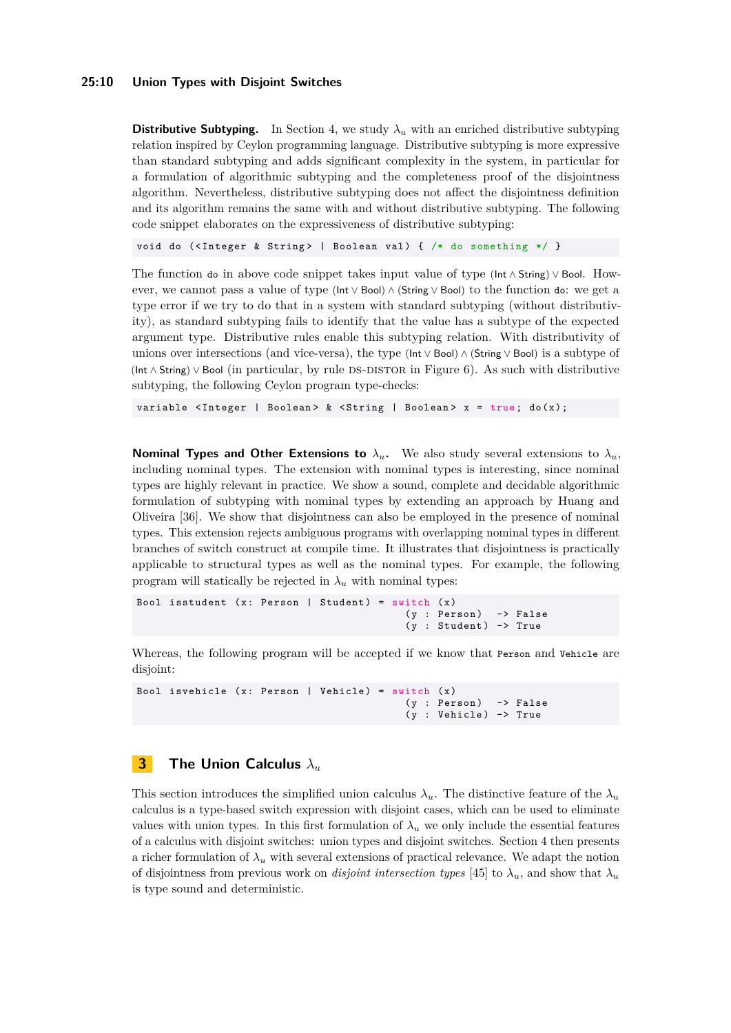#### **25:10 Union Types with Disjoint Switches**

**Distributive Subtyping.** In Section [4,](#page-15-0) we study  $\lambda_u$  with an enriched distributive subtyping relation inspired by Ceylon programming language. Distributive subtyping is more expressive than standard subtyping and adds significant complexity in the system, in particular for a formulation of algorithmic subtyping and the completeness proof of the disjointness algorithm. Nevertheless, distributive subtyping does not affect the disjointness definition and its algorithm remains the same with and without distributive subtyping. The following code snippet elaborates on the expressiveness of distributive subtyping:

void do (<Integer & String> | Boolean val) { /\* do something \*/ }

The function do in above code snippet takes input value of type (Int ∧ String) ∨ Bool. However, we cannot pass a value of type (Int ∨ Bool) ∧ (String ∨ Bool) to the function do: we get a type error if we try to do that in a system with standard subtyping (without distributivity), as standard subtyping fails to identify that the value has a subtype of the expected argument type. Distributive rules enable this subtyping relation. With distributivity of unions over intersections (and vice-versa), the type (Int ∨ Bool) ∧ (String ∨ Bool) is a subtype of (Int∧String)∨ Bool (in particular, by rule DS-DISTOR in Figure [6\)](#page-17-1). As such with distributive subtyping, the following Ceylon program type-checks:

variable  $\langle$ Integer | Boolean> &  $\langle$ String | Boolean> x = true; do(x);

**Nominal Types and Other Extensions to**  $\lambda_u$ . We also study several extensions to  $\lambda_u$ . including nominal types. The extension with nominal types is interesting, since nominal types are highly relevant in practice. We show a sound, complete and decidable algorithmic formulation of subtyping with nominal types by extending an approach by Huang and Oliveira [\[36\]](#page-26-7). We show that disjointness can also be employed in the presence of nominal types. This extension rejects ambiguous programs with overlapping nominal types in different branches of switch construct at compile time. It illustrates that disjointness is practically applicable to structural types as well as the nominal types. For example, the following program will statically be rejected in  $\lambda_u$  with nominal types:

```
Bool isstudent (x: Person | Student) = switch (x)
                                          (y : Person) -> False
                                          (y : Student) -> True
```
Whereas, the following program will be accepted if we know that Person and Vehicle are disjoint:

```
Bool isvehicle (x: Person | Vehicle) = switch (x)
                                              (y : Person) -> False
                                              (y : Vehicle) \rightarrow True
```
# <span id="page-9-0"></span>**3 The Union Calculus** *λ<sup>u</sup>*

This section introduces the simplified union calculus  $\lambda_u$ . The distinctive feature of the  $\lambda_u$ calculus is a type-based switch expression with disjoint cases, which can be used to eliminate values with union types. In this first formulation of  $\lambda_u$  we only include the essential features of a calculus with disjoint switches: union types and disjoint switches. Section [4](#page-15-0) then presents a richer formulation of  $\lambda_u$  with several extensions of practical relevance. We adapt the notion of disjointness from previous work on *disjoint intersection types* [\[45\]](#page-27-5) to  $\lambda_u$ , and show that  $\lambda_u$ is type sound and deterministic.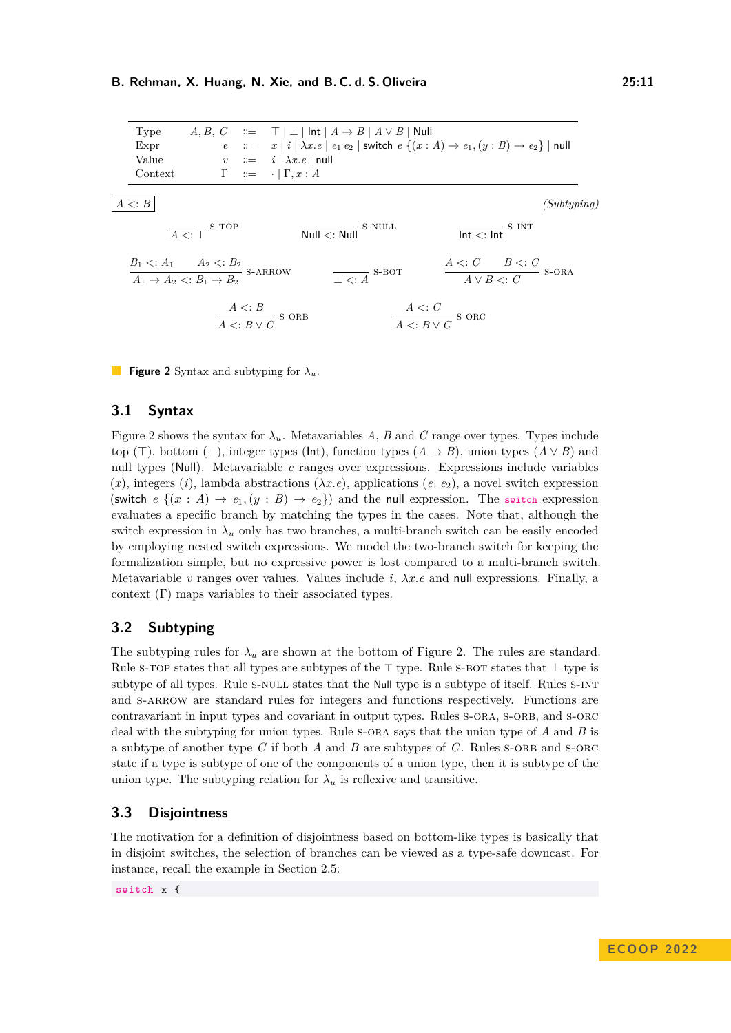<span id="page-10-0"></span>

<span id="page-10-8"></span><span id="page-10-7"></span><span id="page-10-6"></span><span id="page-10-5"></span><span id="page-10-4"></span><span id="page-10-3"></span><span id="page-10-2"></span><span id="page-10-1"></span>**Figure 2** Syntax and subtyping for *λu*.

#### **3.1 Syntax**

Figure [2](#page-10-0) shows the syntax for  $\lambda_u$ . Metavariables *A*, *B* and *C* range over types. Types include top ( $\top$ ), bottom ( $\bot$ ), integer types ( $\mathsf{Int}$ ), function types  $(A \rightarrow B)$ , union types  $(A \vee B)$  and null types (Null). Metavariable *e* ranges over expressions. Expressions include variables  $(x)$ , integers  $(i)$ , lambda abstractions  $(\lambda x.e)$ , applications  $(e_1 e_2)$ , a novel switch expression (switch  $e \{(x : A) \to e_1, (y : B) \to e_2\}$ ) and the null expression. The switch expression evaluates a specific branch by matching the types in the cases. Note that, although the switch expression in  $\lambda_u$  only has two branches, a multi-branch switch can be easily encoded by employing nested switch expressions. We model the two-branch switch for keeping the formalization simple, but no expressive power is lost compared to a multi-branch switch. Metavariable *v* ranges over values. Values include *i*, *λx.e* and null expressions. Finally, a context (Γ) maps variables to their associated types.

# **3.2 Subtyping**

The subtyping rules for  $\lambda_u$  are shown at the bottom of Figure [2.](#page-10-0) The rules are standard. Rule s-TOP states that all types are subtypes of the  $\top$  type. Rule s-BOT states that  $\bot$  type is subtype of all types. Rule s-NULL states that the Null type is a subtype of itself. Rules S-INT and s-ARROW are standard rules for integers and functions respectively. Functions are contravariant in input types and covariant in output types. Rules S-ORA, S-ORB, and S-ORC deal with the subtyping for union types. Rule [s-ora](#page-10-6) says that the union type of *A* and *B* is a subtype of another type *C* if both *A* and *B* are subtypes of *C*. Rules [s-orb](#page-10-7) and [s-orc](#page-10-8) state if a type is subtype of one of the components of a union type, then it is subtype of the union type. The subtyping relation for  $\lambda_u$  is reflexive and transitive.

# **3.3 Disjointness**

The motivation for a definition of disjointness based on bottom-like types is basically that in disjoint switches, the selection of branches can be viewed as a type-safe downcast. For instance, recall the example in Section [2.5:](#page-7-1)

switch x {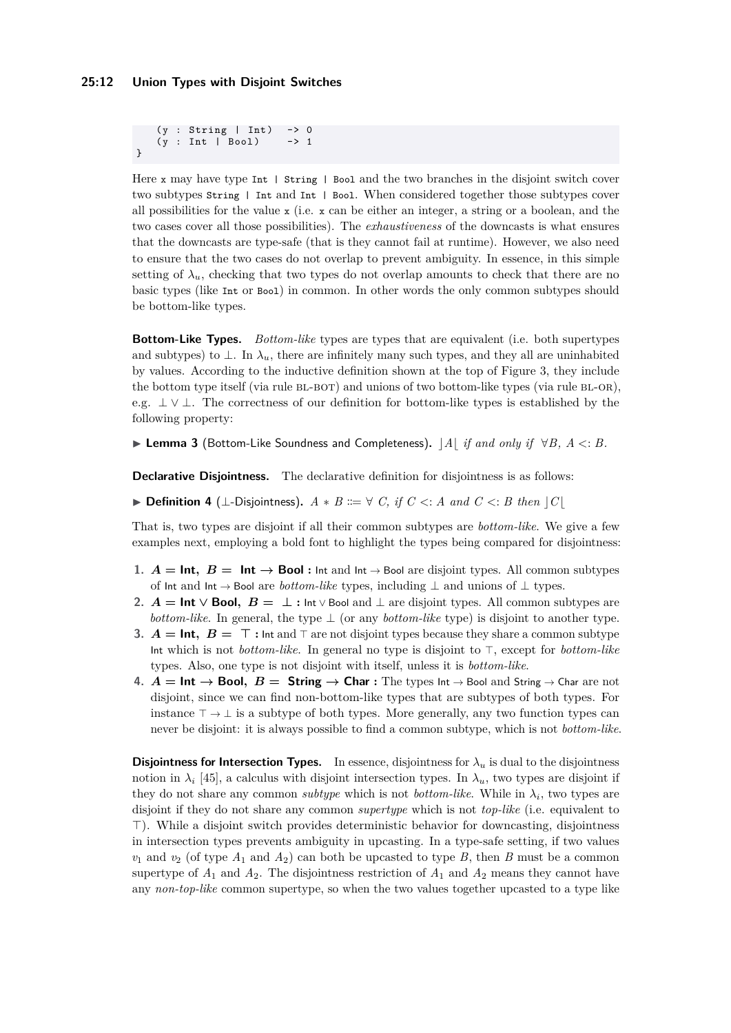(y : String | Int) -> 0<br>(v : Int | Bool) -> 1  $(y : Int | Do01)$ }

Here x may have type Int | String | Bool and the two branches in the disjoint switch cover two subtypes String | Int and Int | Bool. When considered together those subtypes cover all possibilities for the value  $x$  (i.e.  $x$  can be either an integer, a string or a boolean, and the two cases cover all those possibilities). The *exhaustiveness* of the downcasts is what ensures that the downcasts are type-safe (that is they cannot fail at runtime). However, we also need to ensure that the two cases do not overlap to prevent ambiguity. In essence, in this simple setting of  $\lambda_u$ , checking that two types do not overlap amounts to check that there are no basic types (like Int or Bool) in common. In other words the only common subtypes should be bottom-like types.

**Bottom-Like Types.** *Bottom-like* types are types that are equivalent (i.e. both supertypes and subtypes) to  $\perp$ . In  $\lambda_u$ , there are infinitely many such types, and they all are uninhabited by values. According to the inductive definition shown at the top of Figure [3,](#page-12-0) they include the bottom type itself (via rule BL-BOT) and unions of two bottom-like types (via rule BL-OR), e.g.  $\perp \vee \perp$ . The correctness of our definition for bottom-like types is established by the following property:

I **Lemma 3** (Bottom-Like Soundness and Completeness)**.** c*A*b *if and only if* ∀*B, A <*: *B.*

**Declarative Disjointness.** The declarative definition for disjointness is as follows:

<span id="page-11-0"></span>**▶ Definition 4** (⊥-Disjointness).  $A * B ::= ∇ C$ , if  $C < A$  and  $C < B$  then  $|C|$ 

That is, two types are disjoint if all their common subtypes are *bottom-like*. We give a few examples next, employing a bold font to highlight the types being compared for disjointness:

- **1.**  $A = \text{Int}, B = \text{Int} \rightarrow \text{Bool}$  : Int and Int  $\rightarrow$  Bool are disjoint types. All common subtypes of  $\mathsf{Int}$  and  $\mathsf{Int} \to \mathsf{Bool}$  are  $\mathit{bottom-like}$  types, including  $\bot$  and unions of  $\bot$  types.
- **2.**  $A = \text{Int} \vee \text{Bool}$ ,  $B = \perp$  **:** Int ∨ Bool and  $\perp$  are disjoint types. All common subtypes are *bottom-like*. In general, the type  $\perp$  (or any *bottom-like* type) is disjoint to another type.
- **3.**  $A = \text{Int}, B = \top$ : Int and  $\top$  are not disjoint types because they share a common subtype Int which is not *bottom-like*. In general no type is disjoint to  $\top$ , except for *bottom-like* types. Also, one type is not disjoint with itself, unless it is *bottom-like*.
- **4.**  $A = \text{Int} \rightarrow \text{Bool}$ ,  $B = \text{String} \rightarrow \text{Char}$  **:** The types Int → Bool and String → Char are not disjoint, since we can find non-bottom-like types that are subtypes of both types. For instance  $\top \rightarrow \bot$  is a subtype of both types. More generally, any two function types can never be disjoint: it is always possible to find a common subtype, which is not *bottom-like*.

**Disjointness for Intersection Types.** In essence, disjointness for  $\lambda_u$  is dual to the disjointness notion in  $\lambda_i$  [\[45\]](#page-27-5), a calculus with disjoint intersection types. In  $\lambda_u$ , two types are disjoint if they do not share any common *subtype* which is not *bottom-like*. While in  $\lambda_i$ , two types are disjoint if they do not share any common *supertype* which is not *top-like* (i.e. equivalent to >). While a disjoint switch provides deterministic behavior for downcasting, disjointness in intersection types prevents ambiguity in upcasting. In a type-safe setting, if two values  $v_1$  and  $v_2$  (of type  $A_1$  and  $A_2$ ) can both be upcasted to type *B*, then *B* must be a common supertype of  $A_1$  and  $A_2$ . The disjointness restriction of  $A_1$  and  $A_2$  means they cannot have any *non-top-like* common supertype, so when the two values together upcasted to a type like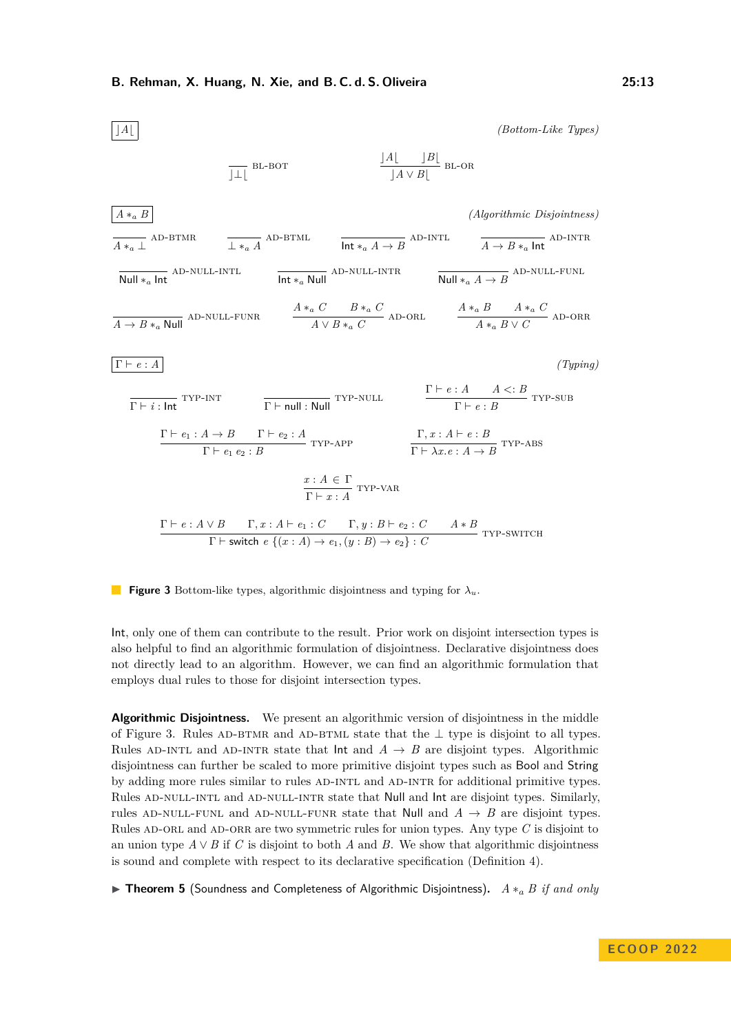<span id="page-12-11"></span><span id="page-12-10"></span><span id="page-12-9"></span><span id="page-12-8"></span><span id="page-12-7"></span><span id="page-12-6"></span><span id="page-12-5"></span><span id="page-12-4"></span><span id="page-12-3"></span><span id="page-12-2"></span><span id="page-12-1"></span><span id="page-12-0"></span>

<span id="page-12-16"></span><span id="page-12-15"></span><span id="page-12-14"></span><span id="page-12-13"></span><span id="page-12-12"></span>**Figure 3** Bottom-like types, algorithmic disjointness and typing for *λu*.

Int, only one of them can contribute to the result. Prior work on disjoint intersection types is also helpful to find an algorithmic formulation of disjointness. Declarative disjointness does not directly lead to an algorithm. However, we can find an algorithmic formulation that employs dual rules to those for disjoint intersection types.

**Algorithmic Disjointness.** We present an algorithmic version of disjointness in the middle of Figure [3.](#page-12-0) Rules AD-BTMR and AD-BTML state that the  $\perp$  type is disjoint to all types. Rules AD-INTL and AD-INTR state that  $\text{Int}$  and  $A \rightarrow B$  are disjoint types. Algorithmic disjointness can further be scaled to more primitive disjoint types such as Bool and String by adding more rules similar to rules AD-INTL and AD-INTR for additional primitive types. Rules AD-NULL-INTL and AD-NULL-INTR state that Null and Int are disjoint types. Similarly, rules AD-NULL-FUNL and AD-NULL-FUNR state that **Null** and  $A \rightarrow B$  are disjoint types. Rules AD-ORL and AD-ORR are two symmetric rules for union types. Any type C is disjoint to an union type  $A \vee B$  if *C* is disjoint to both *A* and *B*. We show that algorithmic disjointness is sound and complete with respect to its declarative specification (Definition [4\)](#page-11-0).

I **Theorem 5** (Soundness and Completeness of Algorithmic Disjointness)**.** *A* ∗*<sup>a</sup> B if and only*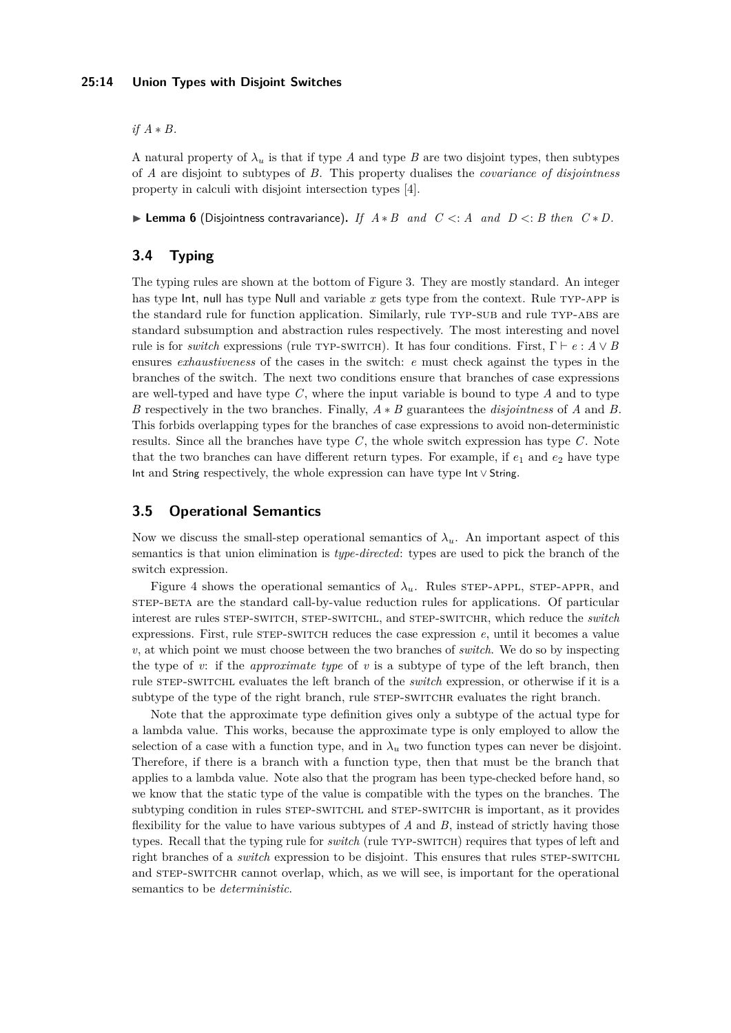#### **25:14 Union Types with Disjoint Switches**

*if A* ∗ *B.*

A natural property of  $\lambda_u$  is that if type *A* and type *B* are two disjoint types, then subtypes of *A* are disjoint to subtypes of *B*. This property dualises the *covariance of disjointness* property in calculi with disjoint intersection types [\[4\]](#page-25-8).

I **Lemma 6** (Disjointness contravariance)**.** *If A* ∗ *B and C <*: *A and D <*: *B then C* ∗ *D.*

# **3.4 Typing**

The typing rules are shown at the bottom of Figure [3.](#page-12-0) They are mostly standard. An integer has type Int, null has type Null and variable x gets type from the context. Rule TYP-APP is the standard rule for function application. Similarly, rule TYP-SUB and rule TYP-ABS are standard subsumption and abstraction rules respectively. The most interesting and novel rule is for *switch* expressions (rule TYP-SWITCH). It has four conditions. First,  $\Gamma \vdash e : A \lor B$ ensures *exhaustiveness* of the cases in the switch: *e* must check against the types in the branches of the switch. The next two conditions ensure that branches of case expressions are well-typed and have type *C*, where the input variable is bound to type *A* and to type *B* respectively in the two branches. Finally, *A* ∗ *B* guarantees the *disjointness* of *A* and *B*. This forbids overlapping types for the branches of case expressions to avoid non-deterministic results. Since all the branches have type *C*, the whole switch expression has type *C*. Note that the two branches can have different return types. For example, if  $e_1$  and  $e_2$  have type Int and String respectively, the whole expression can have type Int ∨ String.

# **3.5 Operational Semantics**

Now we discuss the small-step operational semantics of  $\lambda_u$ . An important aspect of this semantics is that union elimination is *type-directed*: types are used to pick the branch of the switch expression.

Figure [4](#page-14-0) shows the operational semantics of  $\lambda_u$ . Rules STEP-APPL, STEP-APPR, and [step-beta](#page-14-3) are the standard call-by-value reduction rules for applications. Of particular interest are rules [step-switch](#page-14-4), [step-switchl](#page-14-5), and [step-switchr](#page-14-6), which reduce the *switch* expressions. First, rule STEP-SWITCH reduces the case expression *e*, until it becomes a value *v*, at which point we must choose between the two branches of *switch*. We do so by inspecting the type of *v*: if the *approximate type* of *v* is a subtype of type of the left branch, then rule [step-switchl](#page-14-5) evaluates the left branch of the *switch* expression, or otherwise if it is a subtype of the type of the right branch, rule STEP-SWITCHR evaluates the right branch.

Note that the approximate type definition gives only a subtype of the actual type for a lambda value. This works, because the approximate type is only employed to allow the selection of a case with a function type, and in  $\lambda_u$  two function types can never be disjoint. Therefore, if there is a branch with a function type, then that must be the branch that applies to a lambda value. Note also that the program has been type-checked before hand, so we know that the static type of the value is compatible with the types on the branches. The subtyping condition in rules STEP-SWITCHL and STEP-SWITCHR is important, as it provides flexibility for the value to have various subtypes of *A* and *B*, instead of strictly having those types. Recall that the typing rule for *switch* (rule TYP-SWITCH) requires that types of left and right branches of a *switch* expression to be disjoint. This ensures that rules STEP-SWITCHL and STEP-SWITCHR cannot overlap, which, as we will see, is important for the operational semantics to be *deterministic*.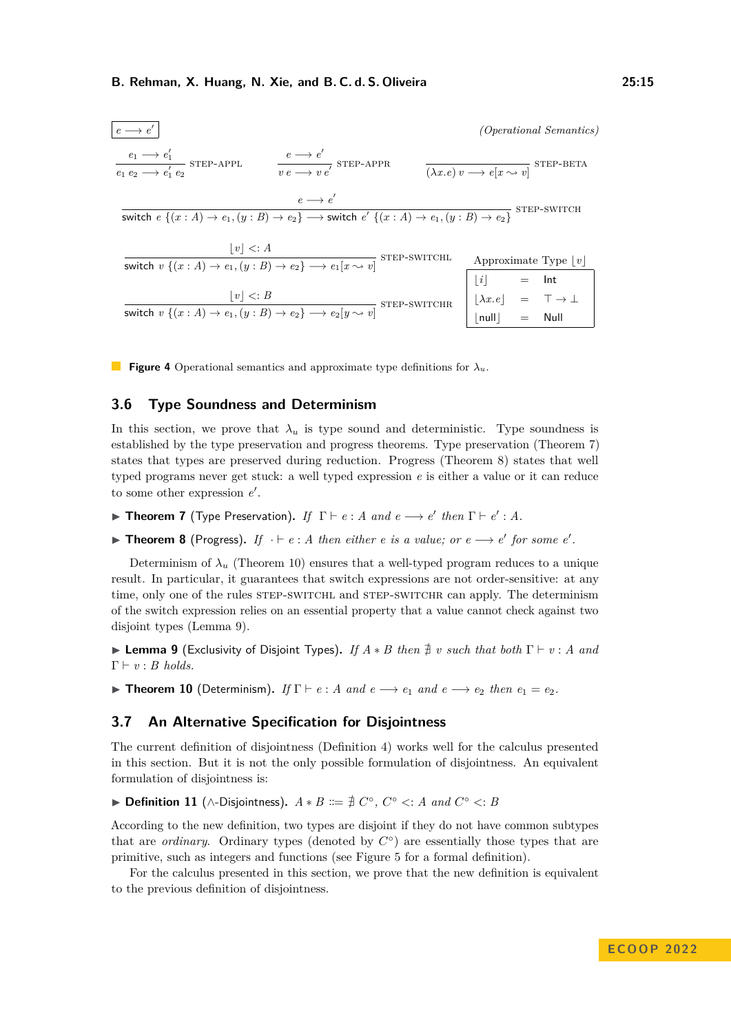<span id="page-14-4"></span><span id="page-14-3"></span><span id="page-14-2"></span><span id="page-14-1"></span><span id="page-14-0"></span>

| $e \longrightarrow e'$                                                                                                                           |                                                                                 |              |                                                                                           | <i>(Operational Semantics)</i>                                     |
|--------------------------------------------------------------------------------------------------------------------------------------------------|---------------------------------------------------------------------------------|--------------|-------------------------------------------------------------------------------------------|--------------------------------------------------------------------|
| $\frac{e_1 \longrightarrow e'_1}{e_1 \ e_2 \longrightarrow e'_1 \ e_2}$ STEP-APPL                                                                | $\frac{e \longrightarrow e'}{e \longrightarrow e \longrightarrow e'}$ STEP-APPR |              |                                                                                           | $\overline{(\lambda x.e) v \longrightarrow e[x \sim v]}$ STEP-BETA |
| switch $e \{(x : A) \rightarrow e_1, (y : B) \rightarrow e_2\} \longrightarrow$ switch $e' \{(x : A) \rightarrow e_1, (y : B) \rightarrow e_2\}$ | $e \rightarrow e'$                                                              |              |                                                                                           | STEP-SWITCH                                                        |
| $ v  \leq A$<br>switch $v \{(x : A) \rightarrow e_1, (y : B) \rightarrow e_2\} \rightarrow e_1[x \sim v]$ STEP-SWITCHL                           |                                                                                 |              |                                                                                           | Approximate Type $ v $                                             |
| $ v  \leq B$<br>switch $v \{(x : A) \rightarrow e_1, (y : B) \rightarrow e_2\} \rightarrow e_2[y \rightsquigarrow v]$                            |                                                                                 | STEP-SWITCHR | $[i]$ = Int<br>$[\lambda x.e]$ = $\top \rightarrow \bot$<br>$\lfloor null \rfloor$ = Null |                                                                    |

<span id="page-14-6"></span><span id="page-14-5"></span>**Figure 4** Operational semantics and approximate type definitions for *λu*.

#### **3.6 Type Soundness and Determinism**

In this section, we prove that  $\lambda_u$  is type sound and deterministic. Type soundness is established by the type preservation and progress theorems. Type preservation (Theorem [7\)](#page-14-7) states that types are preserved during reduction. Progress (Theorem [8\)](#page-14-8) states that well typed programs never get stuck: a well typed expression *e* is either a value or it can reduce to some other expression  $e'$ .

- <span id="page-14-7"></span>**Figure 1** Theorem 7 (Type Preservation). If  $\Gamma \vdash e : A$  and  $e \longrightarrow e'$  then  $\Gamma \vdash e' : A$ .
- <span id="page-14-8"></span>**► Theorem 8** (Progress). If  $\cdot$   $\vdash$   $e$  : *A* then either  $e$  is a value; or  $e$   $\rightarrow$   $e'$  for some  $e'$ .

Determinism of  $\lambda_u$  (Theorem [10\)](#page-14-9) ensures that a well-typed program reduces to a unique result. In particular, it guarantees that switch expressions are not order-sensitive: at any time, only one of the rules STEP-SWITCHL and STEP-SWITCHR can apply. The determinism of the switch expression relies on an essential property that a value cannot check against two disjoint types (Lemma [9\)](#page-14-10).

<span id="page-14-10"></span>**Example 3** (Exclusivity of Disjoint Types). *If*  $A * B$  *then*  $\frac{A}{A} v$  *such that both*  $\Gamma \vdash v : A$  *and*  $\Gamma \vdash v : B \ holds.$ 

<span id="page-14-9"></span>**Theorem 10** (Determinism). *If*  $\Gamma \vdash e : A$  *and*  $e \longrightarrow e_1$  *and*  $e \longrightarrow e_2$  *then*  $e_1 = e_2$ *.* 

#### <span id="page-14-12"></span>**3.7 An Alternative Specification for Disjointness**

The current definition of disjointness (Definition [4\)](#page-11-0) works well for the calculus presented in this section. But it is not the only possible formulation of disjointness. An equivalent formulation of disjointness is:

<span id="page-14-11"></span>**► Definition 11** (∧-Disjointness).  $A * B ::= \nexists C^{\circ}, C^{\circ} \le A \text{ and } C^{\circ} \le B$ 

According to the new definition, two types are disjoint if they do not have common subtypes that are *ordinary*. Ordinary types (denoted by  $C^{\circ}$ ) are essentially those types that are primitive, such as integers and functions (see Figure [5](#page-16-0) for a formal definition).

For the calculus presented in this section, we prove that the new definition is equivalent to the previous definition of disjointness.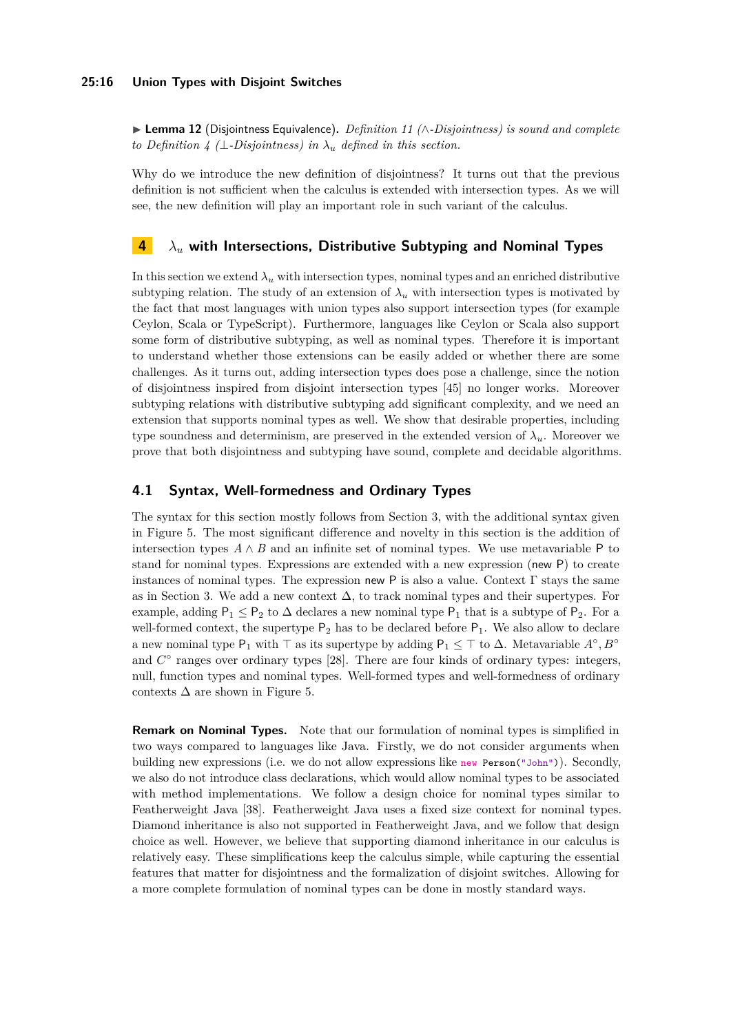I **Lemma 12** (Disjointness Equivalence)**.** *Definition [11](#page-14-11) (*∧*-Disjointness) is sound and complete to Definition* [4](#page-11-0) ( $\perp$ *-Disjointness) in*  $\lambda_u$  *defined in this section.* 

Why do we introduce the new definition of disjointness? It turns out that the previous definition is not sufficient when the calculus is extended with intersection types. As we will see, the new definition will play an important role in such variant of the calculus.

# <span id="page-15-0"></span>**4** *λ<sup>u</sup>* **with Intersections, Distributive Subtyping and Nominal Types**

In this section we extend  $\lambda_u$  with intersection types, nominal types and an enriched distributive subtyping relation. The study of an extension of  $\lambda_u$  with intersection types is motivated by the fact that most languages with union types also support intersection types (for example Ceylon, Scala or TypeScript). Furthermore, languages like Ceylon or Scala also support some form of distributive subtyping, as well as nominal types. Therefore it is important to understand whether those extensions can be easily added or whether there are some challenges. As it turns out, adding intersection types does pose a challenge, since the notion of disjointness inspired from disjoint intersection types [\[45\]](#page-27-5) no longer works. Moreover subtyping relations with distributive subtyping add significant complexity, and we need an extension that supports nominal types as well. We show that desirable properties, including type soundness and determinism, are preserved in the extended version of  $\lambda_u$ . Moreover we prove that both disjointness and subtyping have sound, complete and decidable algorithms.

# **4.1 Syntax, Well-formedness and Ordinary Types**

The syntax for this section mostly follows from Section [3,](#page-9-0) with the additional syntax given in Figure [5.](#page-16-0) The most significant difference and novelty in this section is the addition of intersection types  $A \wedge B$  and an infinite set of nominal types. We use metavariable P to stand for nominal types. Expressions are extended with a new expression (new P) to create instances of nominal types. The expression new P is also a value. Context Γ stays the same as in Section [3.](#page-9-0) We add a new context ∆, to track nominal types and their supertypes. For example, adding  $P_1 \leq P_2$  to  $\Delta$  declares a new nominal type  $P_1$  that is a subtype of  $P_2$ . For a well-formed context, the supertype  $P_2$  has to be declared before  $P_1$ . We also allow to declare a new nominal type  $P_1$  with  $\top$  as its supertype by adding  $P_1 \leq \top$  to  $\Delta$ . Metavariable  $A^{\circ}, B^{\circ}$ and  $C^{\circ}$  ranges over ordinary types [\[28\]](#page-26-11). There are four kinds of ordinary types: integers, null, function types and nominal types. Well-formed types and well-formedness of ordinary contexts  $\Delta$  are shown in Figure [5.](#page-16-0)

**Remark on Nominal Types.** Note that our formulation of nominal types is simplified in two ways compared to languages like Java. Firstly, we do not consider arguments when building new expressions (i.e. we do not allow expressions like new Person("John")). Secondly, we also do not introduce class declarations, which would allow nominal types to be associated with method implementations. We follow a design choice for nominal types similar to Featherweight Java [\[38\]](#page-26-12). Featherweight Java uses a fixed size context for nominal types. Diamond inheritance is also not supported in Featherweight Java, and we follow that design choice as well. However, we believe that supporting diamond inheritance in our calculus is relatively easy. These simplifications keep the calculus simple, while capturing the essential features that matter for disjointness and the formalization of disjoint switches. Allowing for a more complete formulation of nominal types can be done in mostly standard ways.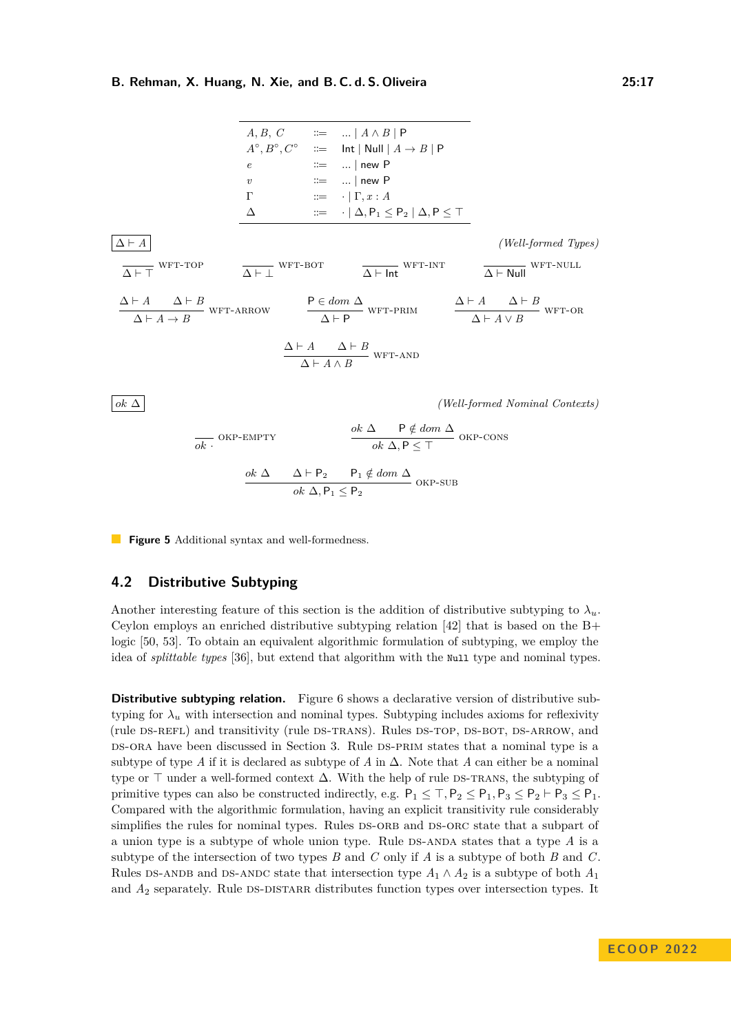<span id="page-16-0"></span> $A, B, C$  ::=  $... | A \wedge B | P$  $A^\circ, B^\circ, C^\circ$  $\therefore$  Int | Null |  $A \rightarrow B$  | P  $\mathrel{::=}$  ... | new P *v* ::= ... | new P  $Γ$  ::= · | Γ, *x* : *A*  $\Delta$  ::= · | ∆*,* P<sub>1</sub> ≤ P<sub>2</sub> | ∆*,* P ≤ ⊤  $\Delta \vdash A$  *(Well-formed Types)*  $\Delta \vdash \top$ WFT-TOP  $\Delta \vdash \bot$ WFT-BOT  $\Delta \vdash$  Int WFT-INT  $\Delta \vdash$  Null WFT-NULL  $\Delta \vdash A$   $\Delta \vdash B$  $\Delta \vdash A \to B$  $WFT-ARROW$  P  $\in dom \Delta$  $\Delta \vdash P$  $WFT-PRIM$   $\Delta \vdash A$   $\Delta \vdash B$  $\Delta$   $\vdash$  *A* ∨ *B* WFT-OR  $\Delta \vdash A$   $\Delta \vdash B$  $\Delta$   $\vdash$  *A* ∧ *B* WFT-AND *ok* ∆ *(Well-formed Nominal Contexts) ok* · - OKP-EMPTY  $ok$  ∆ P  $\notin$  *dom* ∆  $ok$   $\Delta$ ,  $P$   $\leq$   $\top$ okp-cons

$$
\frac{ok \Delta}{\Delta} \frac{\Delta \vdash P_2 \qquad P_1 \notin dom \Delta}{ok \Delta, P_1 \le P_2} \text{ OKP-SUB}
$$

**Figure 5** Additional syntax and well-formedness.

# **4.2 Distributive Subtyping**

Another interesting feature of this section is the addition of distributive subtyping to  $\lambda_u$ . Ceylon employs an enriched distributive subtyping relation [\[42\]](#page-26-6) that is based on the  $B+$ logic [\[50,](#page-27-9) [53\]](#page-27-10). To obtain an equivalent algorithmic formulation of subtyping, we employ the idea of *splittable types* [\[36\]](#page-26-7), but extend that algorithm with the Null type and nominal types.

**Distributive subtyping relation.** Figure [6](#page-17-1) shows a declarative version of distributive subtyping for  $\lambda_u$  with intersection and nominal types. Subtyping includes axioms for reflexivity (rule DS-REFL) and transitivity (rule DS-TRANS). Rules DS-TOP, DS-BOT, DS-ARROW, and DS-ORA have been discussed in Section [3.](#page-9-0) Rule DS-PRIM states that a nominal type is a subtype of type *A* if it is declared as subtype of *A* in  $\Delta$ . Note that *A* can either be a nominal type or  $\top$  under a well-formed context  $\Delta$ . With the help of rule DS-TRANS, the subtyping of primitive types can also be constructed indirectly, e.g.  $P_1 \leq \top, P_2 \leq P_1, P_3 \leq P_2 \vdash P_3 \leq P_1$ . Compared with the algorithmic formulation, having an explicit transitivity rule considerably simplifies the rules for nominal types. Rules DS-ORB and DS-ORC state that a subpart of a union type is a subtype of whole union type. Rule  $DS-ANDA$  states that a type  $A$  is a subtype of the intersection of two types *B* and *C* only if *A* is a subtype of both *B* and *C*. Rules DS-ANDB and DS-ANDC state that intersection type  $A_1 \wedge A_2$  is a subtype of both  $A_1$ and  $A_2$  separately. Rule DS-DISTARR distributes function types over intersection types. It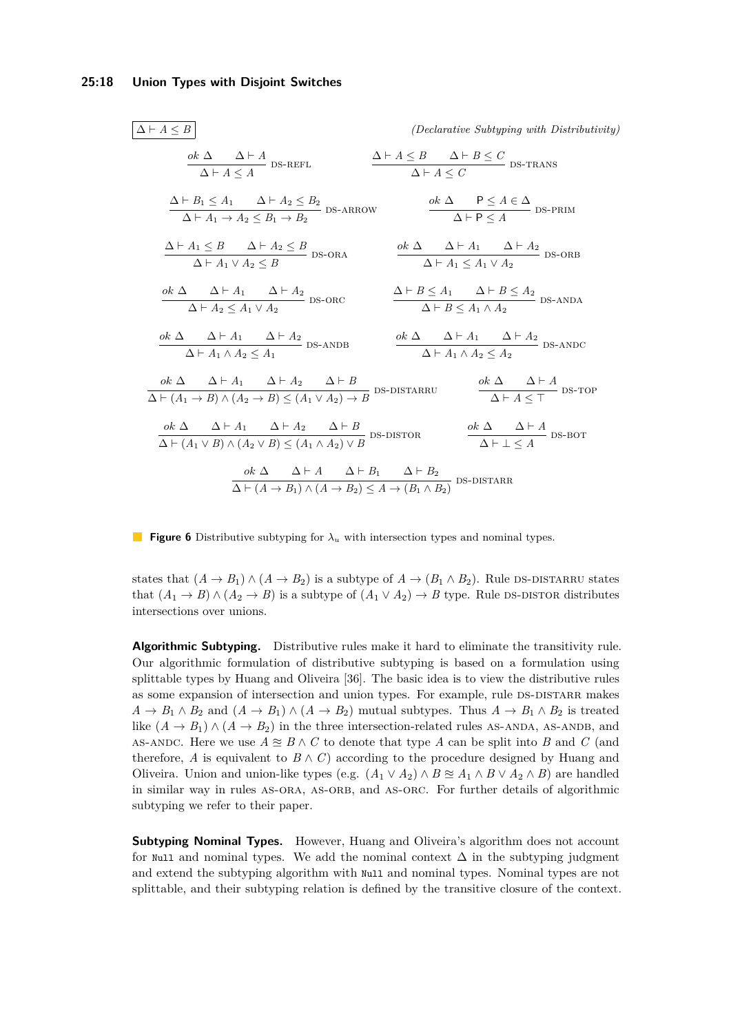<span id="page-17-11"></span><span id="page-17-10"></span><span id="page-17-9"></span><span id="page-17-8"></span><span id="page-17-7"></span><span id="page-17-6"></span><span id="page-17-3"></span><span id="page-17-2"></span><span id="page-17-1"></span>

| $\Delta \vdash A \leq B$                                                                                                                                                          | <i>(Declarative Subtyping with Distributivity)</i>                                                                                                                             |
|-----------------------------------------------------------------------------------------------------------------------------------------------------------------------------------|--------------------------------------------------------------------------------------------------------------------------------------------------------------------------------|
| $\frac{ok\ \Delta\ \quad \Delta \vdash A}{\Delta \vdash A \leq A} \ {\tt DS-REFL}$                                                                                                | $\frac{\Delta\vdash A\leq B\qquad \Delta\vdash B\leq C}{\Delta\vdash A\leq C}$ DS-TRANS                                                                                        |
|                                                                                                                                                                                   | $\Delta \vdash B_1 \leq A_1$ $\Delta \vdash A_2 \leq B_2$<br>$\Delta \vdash A_1 \rightarrow A_2 \leq B_1 \rightarrow B_2$ DS-ARROW $\Delta \vdash P \leq A \in \Delta$ DS-PRIM |
| $\frac{\Delta\vdash A_1\leq B\qquad \Delta\vdash A_2\leq B}{\Delta\vdash A_1\vee A_2\leq B}\text{\;DS-ORA}$                                                                       | $\frac{ok\ \Delta\ \quad \Delta\vdash A_1\quad \Delta\vdash A_2}{\Delta\vdash A_1\le A_1\vee A_2}$ DS-ORB                                                                      |
| $\frac{ok\;\Delta\quad \Delta\vdash A_1\quad \Delta\vdash A_2}{\Delta\vdash A_2\le A_1\vee A_2}$ DS-ORC                                                                           | $\frac{\Delta \vdash B \leq A_1 \quad \Delta \vdash B \leq A_2}{\Delta \vdash B \leq A_1 \land A_2}$ DS-ANDA                                                                   |
| $\frac{ok\;\Delta\quad \Delta\vdash A_1\quad \Delta\vdash A_2}{\Delta\vdash A_1\land A_2\le A_1}$ DS-ANDB                                                                         | $\frac{ok \Delta \Delta \Delta \vdash A_1 \Delta \vdash A_2}{\Delta \vdash A_1 \land A_2 \leq A_2}$ DS-ANDC                                                                    |
| $\frac{ok \Delta \Delta \vdash A_1 \Delta \vdash A_2 \Delta \vdash B}{\Delta \vdash (A_1 \rightarrow B) \land (A_2 \rightarrow B) \leq (A_1 \lor A_2) \rightarrow B}$ DS-DISTARRU | $\frac{ok\;\Delta\qquad \Delta\vdash A}{\Delta\vdash A < \top}$ DS-TOP                                                                                                         |
| $\frac{ok\ \Delta\ }{\Delta\vdash (A_1\vee B)\wedge (A_2\vee B)\leq (A_1\wedge A_2)\vee B} \text{DS-DISTOR}$                                                                      | $\frac{ok\ \Delta\ \Delta\vdash A}{\Delta\vdash\bot\leq A}\ {\rm DS\text{-}BOT}$                                                                                               |
|                                                                                                                                                                                   | $\frac{ok \Delta \Delta + A \Delta + B_1 \Delta + B_2}{\Delta + (A \rightarrow B_1) \wedge (A \rightarrow B_2) \leq A \rightarrow (B_1 \wedge B_2)}$ DS-DISTARR                |

<span id="page-17-15"></span><span id="page-17-14"></span><span id="page-17-13"></span><span id="page-17-12"></span><span id="page-17-5"></span><span id="page-17-4"></span><span id="page-17-0"></span>**Figure 6** Distributive subtyping for *λ<sup>u</sup>* with intersection types and nominal types.

states that  $(A \to B_1) \land (A \to B_2)$  is a subtype of  $A \to (B_1 \land B_2)$ . Rule DS-DISTARRU states that  $(A_1 \rightarrow B) \land (A_2 \rightarrow B)$  is a subtype of  $(A_1 \lor A_2) \rightarrow B$  type. Rule DS-DISTOR distributes intersections over unions.

**Algorithmic Subtyping.** Distributive rules make it hard to eliminate the transitivity rule. Our algorithmic formulation of distributive subtyping is based on a formulation using splittable types by Huang and Oliveira [\[36\]](#page-26-7). The basic idea is to view the distributive rules as some expansion of intersection and union types. For example, rule DS-DISTARR makes  $A \to B_1 \land B_2$  and  $(A \to B_1) \land (A \to B_2)$  mutual subtypes. Thus  $A \to B_1 \land B_2$  is treated like  $(A \to B_1) \land (A \to B_2)$  in the three intersection-related rules AS-ANDA, AS-ANDB, and AS-ANDC. Here we use  $A \cong B \wedge C$  to denote that type A can be split into B and C (and therefore, *A* is equivalent to  $B \wedge C$  according to the procedure designed by Huang and Oliveira. Union and union-like types (e.g.  $(A_1 \vee A_2) \wedge B \cong A_1 \wedge B \vee A_2 \wedge B$ ) are handled in similar way in rules AS-ORA, AS-ORB, and AS-ORC. For further details of algorithmic subtyping we refer to their paper.

**Subtyping Nominal Types.** However, Huang and Oliveira's algorithm does not account for Null and nominal types. We add the nominal context  $\Delta$  in the subtyping judgment and extend the subtyping algorithm with Null and nominal types. Nominal types are not splittable, and their subtyping relation is defined by the transitive closure of the context.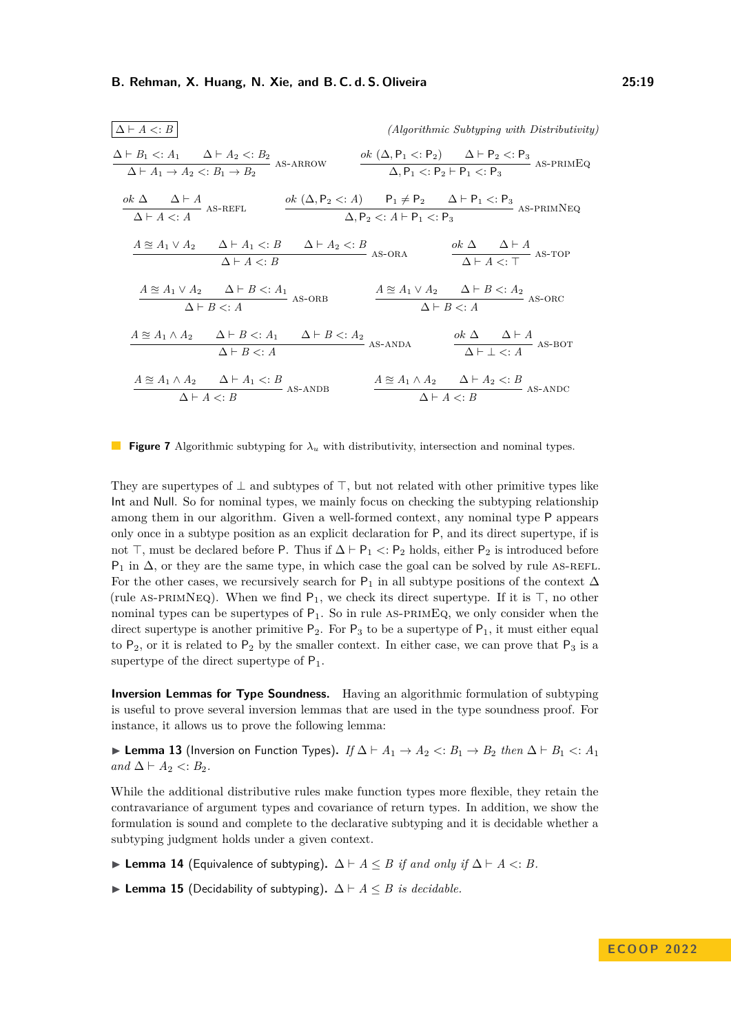<span id="page-18-8"></span><span id="page-18-7"></span><span id="page-18-6"></span><span id="page-18-3"></span>

| $\Delta \vdash A \mathrel{<:} B$                                                                                                             |                                                                                       |         |                                                                                                                                       | (Algorithmic Subtyping with Distributivity)                                                         |         |
|----------------------------------------------------------------------------------------------------------------------------------------------|---------------------------------------------------------------------------------------|---------|---------------------------------------------------------------------------------------------------------------------------------------|-----------------------------------------------------------------------------------------------------|---------|
| $\frac{\Delta \vdash B_1 \prec A_1 \quad \Delta \vdash A_2 \prec B_2}{\Delta \vdash A_1 \rightarrow A_2 \prec B_1 \rightarrow B_2}$ AS-ARROW |                                                                                       |         | $\frac{ok(\Delta, P_1 \le P_2)}{\Delta, P_1 \le P_2 \vdash P_1 \le P_3}$ AS-PRIMEQ                                                    |                                                                                                     |         |
| $\frac{ok\ \Delta\ }{\Delta\ \vdash A} \xrightarrow[\Delta\ \vdash A \ <:\ A \ \text{AS-REFL}$                                               |                                                                                       |         | <i>ok</i> $(\Delta, P_2 \leq: A)$ $P_1 \neq P_2$ $\Delta \vdash P_1 \leq: P_3$<br>$\Delta, P_2 \lt: A \vdash P_1 \lt: P_3$ AS-PRIMNEQ |                                                                                                     |         |
| $\underbrace{A \cong A_1 \vee A_2 \qquad \Delta \vdash A_1 \triangleleft B \qquad \Delta \vdash A_2 \triangleleft B}_{AS\text{-}ORA}$        | $\Delta \vdash A \lt: B$                                                              |         |                                                                                                                                       | $\frac{ok \Delta}{\Delta \vdash A \leq \top} \frac{\Delta \vdash A}{AS\text{-}TOP}$                 |         |
| $A \cong A_1 \vee A_2 \qquad \Delta \vdash B \lt: A_1$                                                                                       | $\overbrace{\Delta \vdash B <: A}^{\qquad \qquad \cdots \qquad \qquad AS\text{-}ORB}$ |         |                                                                                                                                       | $\frac{A \approxeq A_1 \vee A_2 \quad \Delta \vdash B <: A_2}{\Delta \vdash B <: A} \text{ as-osc}$ |         |
| $A \cong A_1 \wedge A_2$ $\Delta \vdash B \lt: A_1$ $\Delta \vdash B \lt: A_2$                                                               | $\Delta \vdash B \lt: A$                                                              |         | $-$ AS-ANDA                                                                                                                           | $\frac{ok\ \Delta\qquad \Delta\vdash A}{\Delta\vdash\bot<:A} \text{ AS-BOT}$                        |         |
| $A \cong A_1 \wedge A_2 \qquad \Delta \vdash A_1 \lt: B$                                                                                     | $\Delta \vdash A \lt: B$                                                              | AS-ANDB |                                                                                                                                       | $A \cong A_1 \wedge A_2 \qquad \Delta \vdash A_2 \lt : B$<br>$\Delta \vdash A \lt: B$               | AS-ANDC |

<span id="page-18-5"></span><span id="page-18-4"></span><span id="page-18-2"></span><span id="page-18-1"></span><span id="page-18-0"></span>**Figure 7** Algorithmic subtyping for *λ<sup>u</sup>* with distributivity, intersection and nominal types.

They are supertypes of  $\perp$  and subtypes of  $\top$ , but not related with other primitive types like Int and Null. So for nominal types, we mainly focus on checking the subtyping relationship among them in our algorithm. Given a well-formed context, any nominal type P appears only once in a subtype position as an explicit declaration for P, and its direct supertype, if is not  $\top$ , must be declared before P. Thus if  $\Delta \vdash P_1$  < : P<sub>2</sub> holds, either P<sub>2</sub> is introduced before P<sub>1</sub> in  $\Delta$ , or they are the same type, in which case the goal can be solved by rule AS-REFL. For the other cases, we recursively search for  $P_1$  in all subtype positions of the context  $\Delta$ (rule AS-PRIMNEQ). When we find  $P_1$ , we check its direct supertype. If it is  $\top$ , no other nominal types can be supertypes of  $P_1$ . So in rule AS-PRIMEQ, we only consider when the direct supertype is another primitive  $P_2$ . For  $P_3$  to be a supertype of  $P_1$ , it must either equal to  $P_2$ , or it is related to  $P_2$  by the smaller context. In either case, we can prove that  $P_3$  is a supertype of the direct supertype of  $P_1$ .

**Inversion Lemmas for Type Soundness.** Having an algorithmic formulation of subtyping is useful to prove several inversion lemmas that are used in the type soundness proof. For instance, it allows us to prove the following lemma:

I **Lemma 13** (Inversion on Function Types)**.** *If* ∆ ` *A*<sup>1</sup> → *A*<sup>2</sup> *<*: *B*<sup>1</sup> → *B*<sup>2</sup> *then* ∆ ` *B*<sup>1</sup> *<*: *A*<sup>1</sup>  $and$  ∆  $\vdash$  *A*<sub>2</sub>  $\lt:$  *B*<sub>2</sub>*.* 

While the additional distributive rules make function types more flexible, they retain the contravariance of argument types and covariance of return types. In addition, we show the formulation is sound and complete to the declarative subtyping and it is decidable whether a subtyping judgment holds under a given context.

- **► Lemma 14** (Equivalence of subtyping).  $\Delta \vdash A \leq B$  *if and only if*  $\Delta \vdash A \lt D$ . *B*.
- **► Lemma 15** (Decidability of subtyping).  $\Delta \vdash A \leq B$  *is decidable.*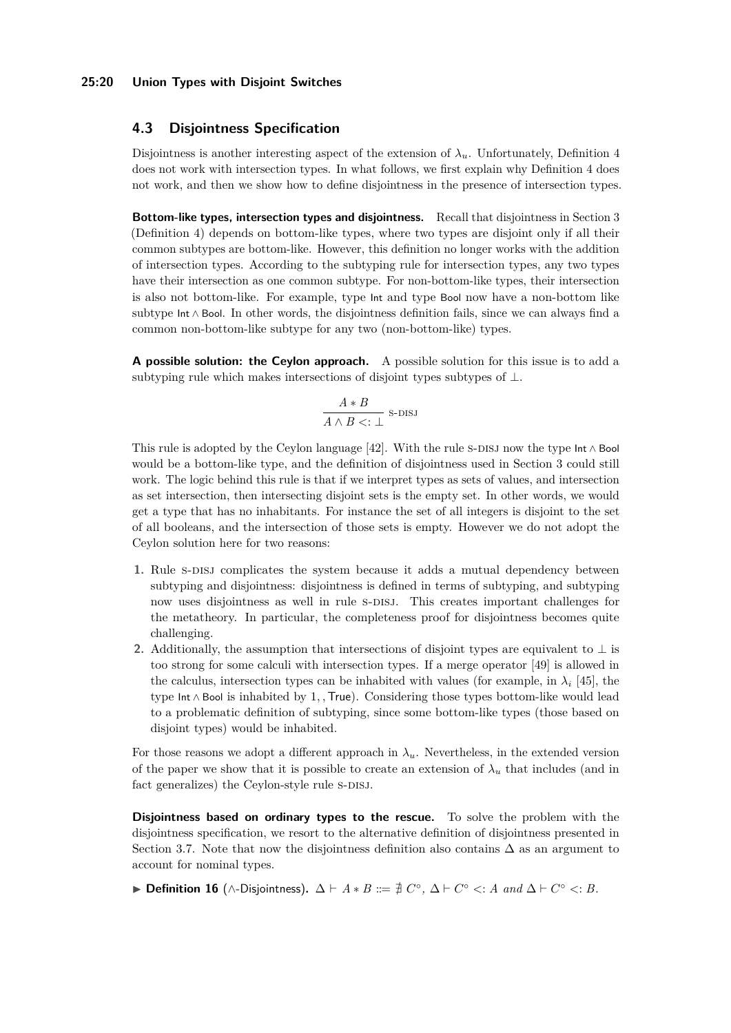#### **25:20 Union Types with Disjoint Switches**

## <span id="page-19-2"></span>**4.3 Disjointness Specification**

Disjointness is another interesting aspect of the extension of  $\lambda_u$ . Unfortunately, Definition [4](#page-11-0) does not work with intersection types. In what follows, we first explain why Definition [4](#page-11-0) does not work, and then we show how to define disjointness in the presence of intersection types.

**Bottom-like types, intersection types and disjointness.** Recall that disjointness in Section [3](#page-9-0) (Definition [4\)](#page-11-0) depends on bottom-like types, where two types are disjoint only if all their common subtypes are bottom-like. However, this definition no longer works with the addition of intersection types. According to the subtyping rule for intersection types, any two types have their intersection as one common subtype. For non-bottom-like types, their intersection is also not bottom-like. For example, type Int and type Bool now have a non-bottom like subtype Int ∧ Bool. In other words, the disjointness definition fails, since we can always find a common non-bottom-like subtype for any two (non-bottom-like) types.

**A possible solution: the Ceylon approach.** A possible solution for this issue is to add a subtyping rule which makes intersections of disjoint types subtypes of  $\bot$ .

<span id="page-19-0"></span>
$$
\frac{A*B}{A\wedge B<:\bot}\text{ s-DISJ}
$$

This rule is adopted by the Ceylon language [\[42\]](#page-26-6). With the rule s-DISJ now the type Int ∧ Bool would be a bottom-like type, and the definition of disjointness used in Section [3](#page-9-0) could still work. The logic behind this rule is that if we interpret types as sets of values, and intersection as set intersection, then intersecting disjoint sets is the empty set. In other words, we would get a type that has no inhabitants. For instance the set of all integers is disjoint to the set of all booleans, and the intersection of those sets is empty. However we do not adopt the Ceylon solution here for two reasons:

- **1.** Rule s-DISJ complicates the system because it adds a mutual dependency between subtyping and disjointness: disjointness is defined in terms of subtyping, and subtyping now uses disjointness as well in rule s-DISJ. This creates important challenges for the metatheory. In particular, the completeness proof for disjointness becomes quite challenging.
- **2.** Additionally, the assumption that intersections of disjoint types are equivalent to  $\perp$  is too strong for some calculi with intersection types. If a merge operator [\[49\]](#page-27-6) is allowed in the calculus, intersection types can be inhabited with values (for example, in  $\lambda_i$  [\[45\]](#page-27-5), the type Int ∧ Bool is inhabited by 1*, ,*True). Considering those types bottom-like would lead to a problematic definition of subtyping, since some bottom-like types (those based on disjoint types) would be inhabited.

For those reasons we adopt a different approach in  $\lambda_u$ . Nevertheless, in the extended version of the paper we show that it is possible to create an extension of  $\lambda_u$  that includes (and in fact generalizes) the Ceylon-style rule S-DISJ.

**Disjointness based on ordinary types to the rescue.** To solve the problem with the disjointness specification, we resort to the alternative definition of disjointness presented in Section [3.7.](#page-14-12) Note that now the disjointness definition also contains  $\Delta$  as an argument to account for nominal types.

<span id="page-19-1"></span>**► Definition 16** (∧-Disjointness).  $\Delta \vdash A * B ::= \nexists C^\circ, \Delta \vdash C^\circ < A \text{ and } \Delta \vdash C^\circ < B$ .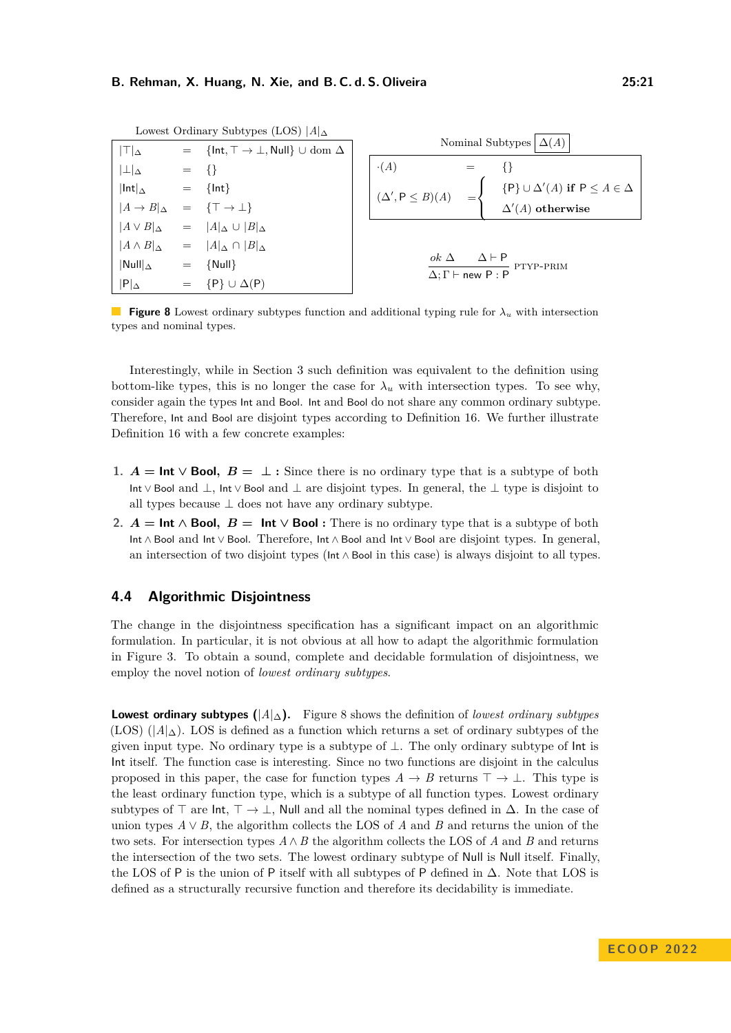<span id="page-20-0"></span>

|                                                        |                           | Lowest Ordinary Subtypes (LOS) $ A _{\Delta}$                 |                                                                              |  |
|--------------------------------------------------------|---------------------------|---------------------------------------------------------------|------------------------------------------------------------------------------|--|
| $ T _{\Delta}$                                         |                           | $=$ {Int, $\top \rightarrow \bot$ , Null} $\cup$ dom $\Delta$ | Nominal Subtypes<br>$\Delta(A)$                                              |  |
| $ \perp _{\Delta}$                                     | $=$ {}                    |                                                               | $\cdot(A)$<br>$=$                                                            |  |
| $ Int _{\Delta}$                                       | $=$                       | $\{Int\}$                                                     | $\{P\} \cup \Delta'(A)$ if $P \leq A \in \Delta$<br>$(\Delta', P \leq B)(A)$ |  |
| $ A \rightarrow B _{\Delta} = {\top \rightarrow \bot}$ |                           |                                                               | $\Delta'(A)$ otherwise                                                       |  |
| $ A \vee B _{\Delta}$                                  |                           | $=  A _{\Delta} \cup  B _{\Delta}$                            |                                                                              |  |
|                                                        |                           | $ A \wedge B _{\Delta} =  A _{\Delta} \cap  B _{\Delta}$      |                                                                              |  |
| $\left \mathsf{Null}\right _{\Delta}$                  | $\mathbf{r} = \mathbf{r}$ | $\{Null\}$                                                    | $\Delta \vdash P$<br>$ok \Delta$<br>PTYP-PRIM                                |  |
| $ P _{\Delta}$                                         | $=$                       | $\{P\} \cup \Delta(P)$                                        | $\Delta; \Gamma \vdash$ new $P : P$                                          |  |

<span id="page-20-1"></span>**Figure 8** Lowest ordinary subtypes function and additional typing rule for *λ<sup>u</sup>* with intersection types and nominal types.

Interestingly, while in Section [3](#page-9-0) such definition was equivalent to the definition using bottom-like types, this is no longer the case for  $\lambda_u$  with intersection types. To see why, consider again the types Int and Bool. Int and Bool do not share any common ordinary subtype. Therefore, Int and Bool are disjoint types according to Definition [16.](#page-19-1) We further illustrate Definition [16](#page-19-1) with a few concrete examples:

- **1.**  $A = \text{Int} \vee \text{Bool}$ ,  $B = \perp$ : Since there is no ordinary type that is a subtype of both Int ∨ Bool and ⊥, Int ∨ Bool and ⊥ are disjoint types. In general, the ⊥ type is disjoint to all types because  $\perp$  does not have any ordinary subtype.
- **2.**  $A = \text{Int } \wedge \text{Bool}$ ,  $B = \text{Int } \vee \text{Bool}$ : There is no ordinary type that is a subtype of both Int ∧ Bool and Int ∨ Bool. Therefore, Int ∧ Bool and Int ∨ Bool are disjoint types. In general, an intersection of two disjoint types (Int ∧ Bool in this case) is always disjoint to all types.

# **4.4 Algorithmic Disjointness**

The change in the disjointness specification has a significant impact on an algorithmic formulation. In particular, it is not obvious at all how to adapt the algorithmic formulation in Figure [3.](#page-12-0) To obtain a sound, complete and decidable formulation of disjointness, we employ the novel notion of *lowest ordinary subtypes*.

**Lowest ordinary subtypes (**|*A*|∆**).** Figure [8](#page-20-0) shows the definition of *lowest ordinary subtypes* (LOS)  $(|A|_{\Delta})$ . LOS is defined as a function which returns a set of ordinary subtypes of the given input type. No ordinary type is a subtype of  $\perp$ . The only ordinary subtype of  $\ln t$  is Int itself. The function case is interesting. Since no two functions are disjoint in the calculus proposed in this paper, the case for function types  $A \to B$  returns  $\top \to \bot$ . This type is the least ordinary function type, which is a subtype of all function types. Lowest ordinary subtypes of  $\top$  are  $\text{Int}, \top \to \bot$ , Null and all the nominal types defined in  $\Delta$ . In the case of union types  $A \vee B$ , the algorithm collects the LOS of *A* and *B* and returns the union of the two sets. For intersection types  $A \wedge B$  the algorithm collects the LOS of  $A$  and  $B$  and returns the intersection of the two sets. The lowest ordinary subtype of Null is Null itself. Finally, the LOS of P is the union of P itself with all subtypes of P defined in  $\Delta$ . Note that LOS is defined as a structurally recursive function and therefore its decidability is immediate.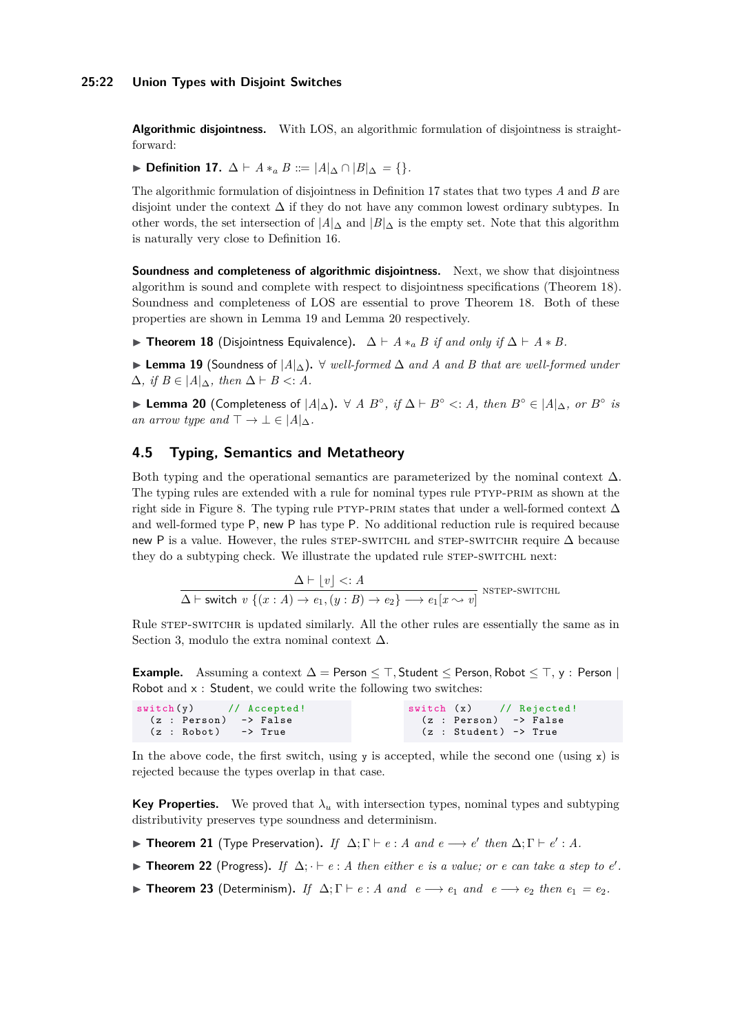#### **25:22 Union Types with Disjoint Switches**

**Algorithmic disjointness.** With LOS, an algorithmic formulation of disjointness is straightforward:

<span id="page-21-0"></span>**► Definition 17.**  $\Delta \vdash A *_a B ::= |A|_{\Delta} \cap |B|_{\Delta} = \{ \}.$ 

The algorithmic formulation of disjointness in Definition [17](#page-21-0) states that two types *A* and *B* are disjoint under the context  $\Delta$  if they do not have any common lowest ordinary subtypes. In other words, the set intersection of  $|A|_{\Delta}$  and  $|B|_{\Delta}$  is the empty set. Note that this algorithm is naturally very close to Definition [16.](#page-19-1)

**Soundness and completeness of algorithmic disjointness.** Next, we show that disjointness algorithm is sound and complete with respect to disjointness specifications (Theorem [18\)](#page-21-1). Soundness and completeness of LOS are essential to prove Theorem [18.](#page-21-1) Both of these properties are shown in Lemma [19](#page-21-2) and Lemma [20](#page-21-3) respectively.

<span id="page-21-1"></span>I **Theorem 18** (Disjointness Equivalence)**.** ∆ ` *A* ∗*<sup>a</sup> B if and only if* ∆ ` *A* ∗ *B.*

<span id="page-21-2"></span>I **Lemma 19** (Soundness of |*A*|∆)**.** ∀ *well-formed* ∆ *and A and B that are well-formed under*  $\Delta$ *, if*  $B \in |A|_{\Delta}$ *, then*  $\Delta$   $\vdash$  *B* <*: A.* 

<span id="page-21-3"></span>**Example 20** (Completeness of  $|A|_{\Delta}$ ).  $\forall A \ B^{\circ}, \text{ if } \Delta \vdash B^{\circ} \lt: A, \text{ then } B^{\circ} \in |A|_{\Delta}, \text{ or } B^{\circ} \text{ is }$ *an arrow type and*  $\top \rightarrow \bot \in |A|_{\Delta}$ *.* 

# **4.5 Typing, Semantics and Metatheory**

Both typing and the operational semantics are parameterized by the nominal context  $\Delta$ . The typing rules are extended with a rule for nominal types rule PTYP-PRIM as shown at the right side in Figure [8.](#page-20-0) The typing rule PTYP-PRIM states that under a well-formed context  $\Delta$ and well-formed type P, new P has type P. No additional reduction rule is required because new P is a value. However, the rules [step-switchl](#page-14-5) and step-switcher require  $\Delta$  because they do a subtyping check. We illustrate the updated rule STEP-SWITCHL next:

$$
\Delta \vdash \lfloor v \rfloor <: A
$$
\n
$$
\Delta \vdash \text{switch } v \{ (x : A) \to e_1, (y : B) \to e_2 \} \longrightarrow e_1[x \leadsto v] \text{ NSTEP-SWITCHL}
$$

Rule [step-switchr](#page-14-6) is updated similarly. All the other rules are essentially the same as in Section [3,](#page-9-0) modulo the extra nominal context  $\Delta$ .

**Example.** Assuming a context  $\Delta =$  Person  $\leq$   $\top$ , Student  $\leq$  Person, Robot  $\leq$   $\top$ , y : Person | Robot and  $x :$  Student, we could write the following two switches:

| $\sqrt{s \text{width}(y)}$ // Accepted! | switch (x) // Rejected!/ |
|-----------------------------------------|--------------------------|
| (z : Person) -> False                   | (z : Person) -> False    |
| $(z : Robot) \rightarrow True$          | (z : Student) -> True    |

In the above code, the first switch, using  $y$  is accepted, while the second one (using  $x$ ) is rejected because the types overlap in that case.

**Key Properties.** We proved that  $\lambda_u$  with intersection types, nominal types and subtyping distributivity preserves type soundness and determinism.

- **Fineorem 21** (Type Preservation). If  $\Delta; \Gamma \vdash e : A$  and  $e \longrightarrow e'$  then  $\Delta; \Gamma \vdash e' : A$ .
- ▶ **Theorem 22** (Progress). If  $\Delta$ ;  $\vdash e : A$  then either *e* is a value; or *e* can take a step to *e'*.
- ► **Theorem 23** (Determinism). If  $\Delta; \Gamma \vdash e : A \text{ and } e \longrightarrow e_1 \text{ and } e \longrightarrow e_2 \text{ then } e_1 = e_2$ .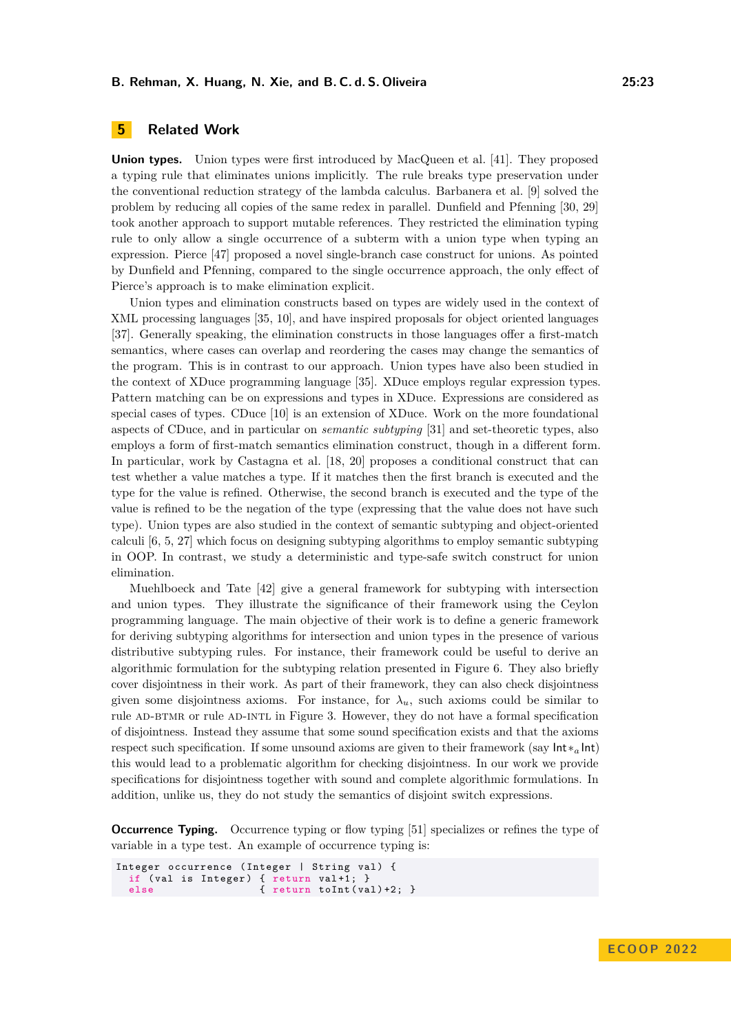# <span id="page-22-0"></span>**5 Related Work**

**Union types.** Union types were first introduced by MacQueen et al. [\[41\]](#page-26-9). They proposed a typing rule that eliminates unions implicitly. The rule breaks type preservation under the conventional reduction strategy of the lambda calculus. Barbanera et al. [\[9\]](#page-25-6) solved the problem by reducing all copies of the same redex in parallel. Dunfield and Pfenning [\[30,](#page-26-10) [29\]](#page-26-4) took another approach to support mutable references. They restricted the elimination typing rule to only allow a single occurrence of a subterm with a union type when typing an expression. Pierce [\[47\]](#page-27-7) proposed a novel single-branch case construct for unions. As pointed by Dunfield and Pfenning, compared to the single occurrence approach, the only effect of Pierce's approach is to make elimination explicit.

Union types and elimination constructs based on types are widely used in the context of XML processing languages [\[35,](#page-26-13) [10\]](#page-25-2), and have inspired proposals for object oriented languages [\[37\]](#page-26-14). Generally speaking, the elimination constructs in those languages offer a first-match semantics, where cases can overlap and reordering the cases may change the semantics of the program. This is in contrast to our approach. Union types have also been studied in the context of XDuce programming language [\[35\]](#page-26-13). XDuce employs regular expression types. Pattern matching can be on expressions and types in XDuce. Expressions are considered as special cases of types. CDuce [\[10\]](#page-25-2) is an extension of XDuce. Work on the more foundational aspects of CDuce, and in particular on *semantic subtyping* [\[31\]](#page-26-15) and set-theoretic types, also employs a form of first-match semantics elimination construct, though in a different form. In particular, work by Castagna et al. [\[18,](#page-25-7) [20\]](#page-25-9) proposes a conditional construct that can test whether a value matches a type. If it matches then the first branch is executed and the type for the value is refined. Otherwise, the second branch is executed and the type of the value is refined to be the negation of the type (expressing that the value does not have such type). Union types are also studied in the context of semantic subtyping and object-oriented calculi [\[6,](#page-25-10) [5,](#page-25-11) [27\]](#page-26-16) which focus on designing subtyping algorithms to employ semantic subtyping in OOP. In contrast, we study a deterministic and type-safe switch construct for union elimination.

Muehlboeck and Tate [\[42\]](#page-26-6) give a general framework for subtyping with intersection and union types. They illustrate the significance of their framework using the Ceylon programming language. The main objective of their work is to define a generic framework for deriving subtyping algorithms for intersection and union types in the presence of various distributive subtyping rules. For instance, their framework could be useful to derive an algorithmic formulation for the subtyping relation presented in Figure [6.](#page-17-1) They also briefly cover disjointness in their work. As part of their framework, they can also check disjointness given some disjointness axioms. For instance, for  $\lambda_u$ , such axioms could be similar to rule AD-BTMR or rule AD-INTL in Figure [3.](#page-12-0) However, they do not have a formal specification of disjointness. Instead they assume that some sound specification exists and that the axioms respect such specification. If some unsound axioms are given to their framework (say Int∗*<sup>a</sup>* Int) this would lead to a problematic algorithm for checking disjointness. In our work we provide specifications for disjointness together with sound and complete algorithmic formulations. In addition, unlike us, they do not study the semantics of disjoint switch expressions.

**Occurrence Typing.** Occurrence typing or flow typing [\[51\]](#page-27-11) specializes or refines the type of variable in a type test. An example of occurrence typing is:

```
Integer occurrence (Integer | String val) {
 if (val is Integer) { return val+1; }
                      { return toInt (va1)+2; }
```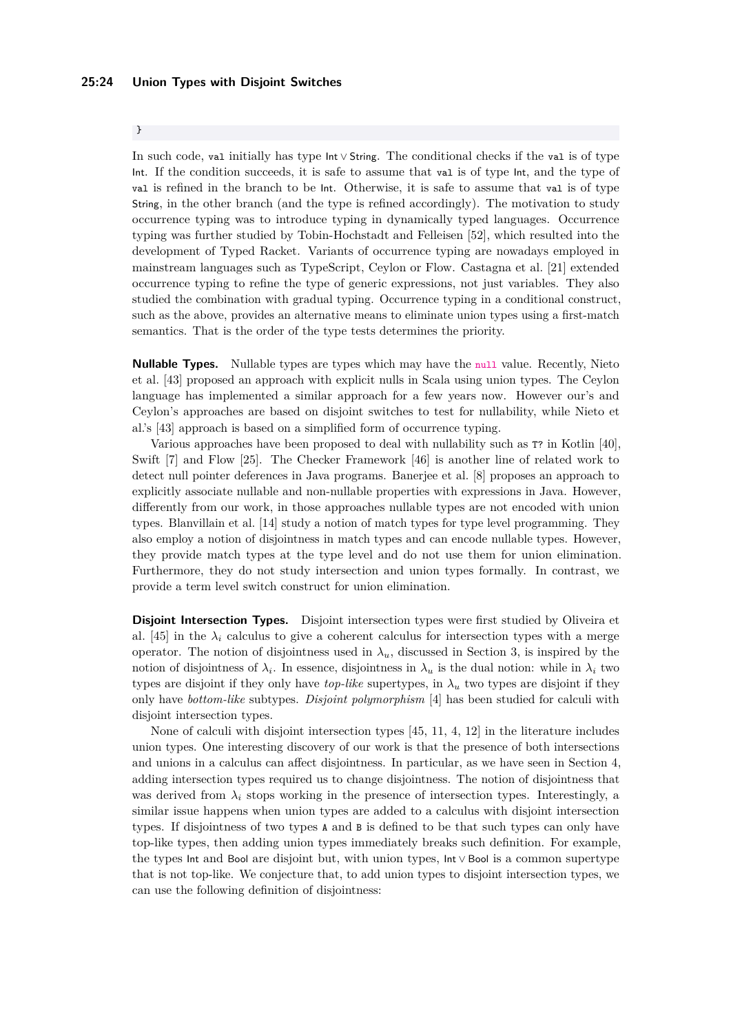# }

In such code, val initially has type Int ∨ String. The conditional checks if the val is of type Int. If the condition succeeds, it is safe to assume that val is of type Int, and the type of val is refined in the branch to be Int. Otherwise, it is safe to assume that val is of type String, in the other branch (and the type is refined accordingly). The motivation to study occurrence typing was to introduce typing in dynamically typed languages. Occurrence typing was further studied by Tobin-Hochstadt and Felleisen [\[52\]](#page-27-12), which resulted into the development of Typed Racket. Variants of occurrence typing are nowadays employed in mainstream languages such as TypeScript, Ceylon or Flow. Castagna et al. [\[21\]](#page-25-12) extended occurrence typing to refine the type of generic expressions, not just variables. They also studied the combination with gradual typing. Occurrence typing in a conditional construct, such as the above, provides an alternative means to eliminate union types using a first-match semantics. That is the order of the type tests determines the priority.

**Nullable Types.** Nullable types are types which may have the null value. Recently, Nieto et al. [\[43\]](#page-27-4) proposed an approach with explicit nulls in Scala using union types. The Ceylon language has implemented a similar approach for a few years now. However our's and Ceylon's approaches are based on disjoint switches to test for nullability, while Nieto et al.'s [\[43\]](#page-27-4) approach is based on a simplified form of occurrence typing.

Various approaches have been proposed to deal with nullability such as T? in Kotlin [\[40\]](#page-26-17), Swift [\[7\]](#page-25-13) and Flow [\[25\]](#page-26-18). The Checker Framework [\[46\]](#page-27-13) is another line of related work to detect null pointer deferences in Java programs. Banerjee et al. [\[8\]](#page-25-14) proposes an approach to explicitly associate nullable and non-nullable properties with expressions in Java. However, differently from our work, in those approaches nullable types are not encoded with union types. Blanvillain et al. [\[14\]](#page-25-15) study a notion of match types for type level programming. They also employ a notion of disjointness in match types and can encode nullable types. However, they provide match types at the type level and do not use them for union elimination. Furthermore, they do not study intersection and union types formally. In contrast, we provide a term level switch construct for union elimination.

**Disjoint Intersection Types.** Disjoint intersection types were first studied by Oliveira et al. [\[45\]](#page-27-5) in the  $\lambda_i$  calculus to give a coherent calculus for intersection types with a merge operator. The notion of disjointness used in  $\lambda_u$ , discussed in Section [3,](#page-9-0) is inspired by the notion of disjointness of  $\lambda_i$ . In essence, disjointness in  $\lambda_u$  is the dual notion: while in  $\lambda_i$  two types are disjoint if they only have *top-like* supertypes, in  $\lambda_u$  two types are disjoint if they only have *bottom-like* subtypes. *Disjoint polymorphism* [\[4\]](#page-25-8) has been studied for calculi with disjoint intersection types.

None of calculi with disjoint intersection types [\[45,](#page-27-5) [11,](#page-25-16) [4,](#page-25-8) [12\]](#page-25-17) in the literature includes union types. One interesting discovery of our work is that the presence of both intersections and unions in a calculus can affect disjointness. In particular, as we have seen in Section [4,](#page-15-0) adding intersection types required us to change disjointness. The notion of disjointness that was derived from  $\lambda_i$  stops working in the presence of intersection types. Interestingly, a similar issue happens when union types are added to a calculus with disjoint intersection types. If disjointness of two types A and B is defined to be that such types can only have top-like types, then adding union types immediately breaks such definition. For example, the types Int and Bool are disjoint but, with union types, Int ∨ Bool is a common supertype that is not top-like. We conjecture that, to add union types to disjoint intersection types, we can use the following definition of disjointness: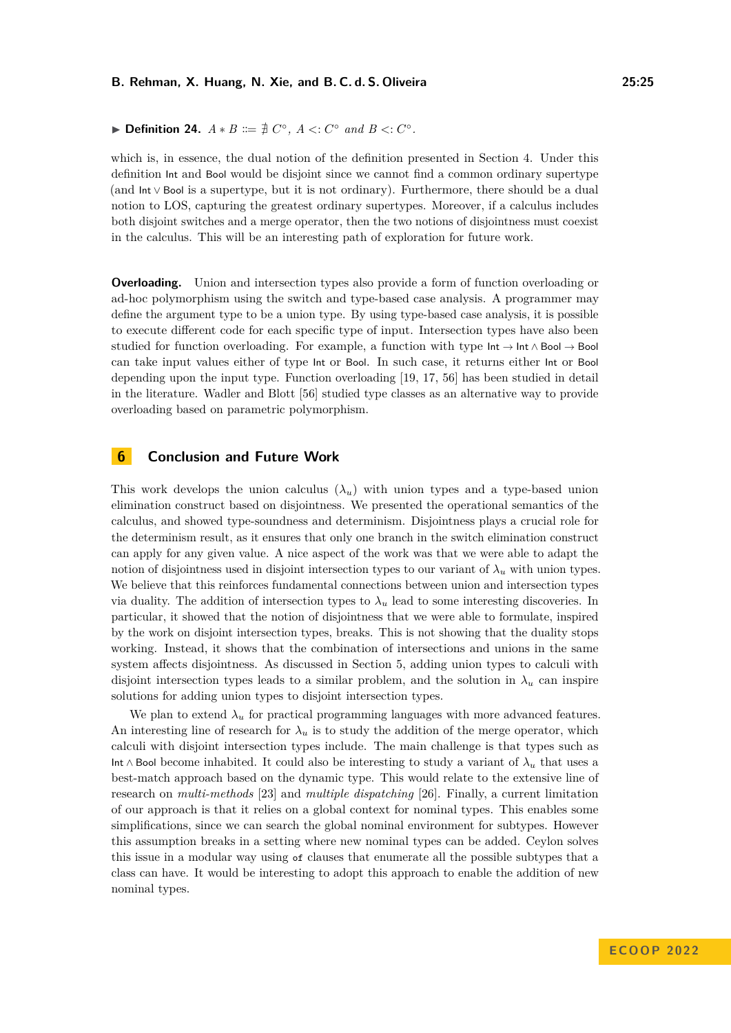which is, in essence, the dual notion of the definition presented in Section [4.](#page-15-0) Under this definition Int and Bool would be disjoint since we cannot find a common ordinary supertype (and Int ∨ Bool is a supertype, but it is not ordinary). Furthermore, there should be a dual notion to LOS, capturing the greatest ordinary supertypes. Moreover, if a calculus includes both disjoint switches and a merge operator, then the two notions of disjointness must coexist in the calculus. This will be an interesting path of exploration for future work.

**Overloading.** Union and intersection types also provide a form of function overloading or ad-hoc polymorphism using the switch and type-based case analysis. A programmer may define the argument type to be a union type. By using type-based case analysis, it is possible to execute different code for each specific type of input. Intersection types have also been studied for function overloading. For example, a function with type  $Int \rightarrow Int \wedge Bool \rightarrow Bool$ can take input values either of type Int or Bool. In such case, it returns either Int or Bool depending upon the input type. Function overloading [\[19,](#page-25-18) [17,](#page-25-19) [56\]](#page-27-14) has been studied in detail in the literature. Wadler and Blott [\[56\]](#page-27-14) studied type classes as an alternative way to provide overloading based on parametric polymorphism.

# **6 Conclusion and Future Work**

This work develops the union calculus  $(\lambda_u)$  with union types and a type-based union elimination construct based on disjointness. We presented the operational semantics of the calculus, and showed type-soundness and determinism. Disjointness plays a crucial role for the determinism result, as it ensures that only one branch in the switch elimination construct can apply for any given value. A nice aspect of the work was that we were able to adapt the notion of disjointness used in disjoint intersection types to our variant of  $\lambda_u$  with union types. We believe that this reinforces fundamental connections between union and intersection types via duality. The addition of intersection types to  $\lambda_u$  lead to some interesting discoveries. In particular, it showed that the notion of disjointness that we were able to formulate, inspired by the work on disjoint intersection types, breaks. This is not showing that the duality stops working. Instead, it shows that the combination of intersections and unions in the same system affects disjointness. As discussed in Section [5,](#page-22-0) adding union types to calculi with disjoint intersection types leads to a similar problem, and the solution in  $\lambda_u$  can inspire solutions for adding union types to disjoint intersection types.

We plan to extend  $\lambda_u$  for practical programming languages with more advanced features. An interesting line of research for  $\lambda_u$  is to study the addition of the merge operator, which calculi with disjoint intersection types include. The main challenge is that types such as Int ∧ Bool become inhabited. It could also be interesting to study a variant of *λ<sup>u</sup>* that uses a best-match approach based on the dynamic type. This would relate to the extensive line of research on *multi-methods* [\[23\]](#page-26-19) and *multiple dispatching* [\[26\]](#page-26-20). Finally, a current limitation of our approach is that it relies on a global context for nominal types. This enables some simplifications, since we can search the global nominal environment for subtypes. However this assumption breaks in a setting where new nominal types can be added. Ceylon solves this issue in a modular way using of clauses that enumerate all the possible subtypes that a class can have. It would be interesting to adopt this approach to enable the addition of new nominal types.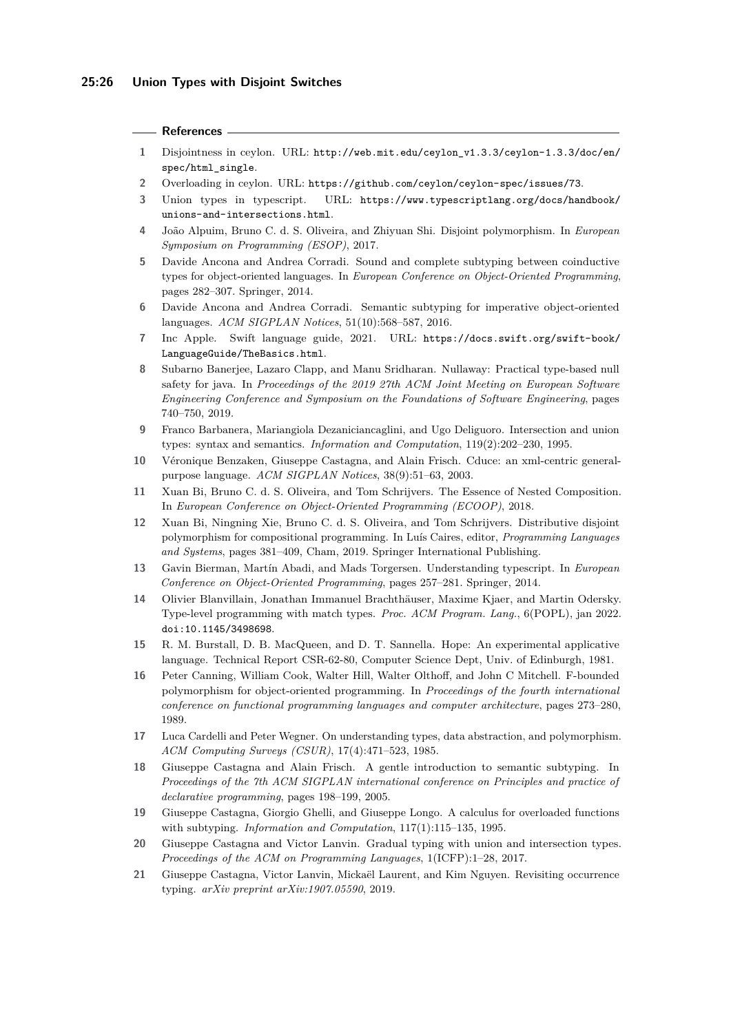#### **References**

- <span id="page-25-4"></span>**1** Disjointness in ceylon. URL: [http://web.mit.edu/ceylon\\_v1.3.3/ceylon-1.3.3/doc/en/](http://web.mit.edu/ceylon_v1.3.3/ceylon-1.3.3/doc/en/spec/html_single) [spec/html\\_single](http://web.mit.edu/ceylon_v1.3.3/ceylon-1.3.3/doc/en/spec/html_single).
- <span id="page-25-3"></span>**2** Overloading in ceylon. URL: <https://github.com/ceylon/ceylon-spec/issues/73>.
- <span id="page-25-5"></span>**3** Union types in typescript. URL: [https://www.typescriptlang.org/docs/handbook/](https://www.typescriptlang.org/docs/handbook/unions-and-intersections.html) [unions-and-intersections.html](https://www.typescriptlang.org/docs/handbook/unions-and-intersections.html).
- <span id="page-25-8"></span>**4** João Alpuim, Bruno C. d. S. Oliveira, and Zhiyuan Shi. Disjoint polymorphism. In *European Symposium on Programming (ESOP)*, 2017.
- <span id="page-25-11"></span>**5** Davide Ancona and Andrea Corradi. Sound and complete subtyping between coinductive types for object-oriented languages. In *European Conference on Object-Oriented Programming*, pages 282–307. Springer, 2014.
- <span id="page-25-10"></span>**6** Davide Ancona and Andrea Corradi. Semantic subtyping for imperative object-oriented languages. *ACM SIGPLAN Notices*, 51(10):568–587, 2016.
- <span id="page-25-13"></span>**7** Inc Apple. Swift language guide, 2021. URL: [https://docs.swift.org/swift-book/](https://docs.swift.org/swift-book/LanguageGuide/TheBasics.html) [LanguageGuide/TheBasics.html](https://docs.swift.org/swift-book/LanguageGuide/TheBasics.html).
- <span id="page-25-14"></span>**8** Subarno Banerjee, Lazaro Clapp, and Manu Sridharan. Nullaway: Practical type-based null safety for java. In *Proceedings of the 2019 27th ACM Joint Meeting on European Software Engineering Conference and Symposium on the Foundations of Software Engineering*, pages 740–750, 2019.
- <span id="page-25-6"></span>**9** Franco Barbanera, Mariangiola Dezaniciancaglini, and Ugo Deliguoro. Intersection and union types: syntax and semantics. *Information and Computation*, 119(2):202–230, 1995.
- <span id="page-25-2"></span>**10** Véronique Benzaken, Giuseppe Castagna, and Alain Frisch. Cduce: an xml-centric generalpurpose language. *ACM SIGPLAN Notices*, 38(9):51–63, 2003.
- <span id="page-25-16"></span>**11** Xuan Bi, Bruno C. d. S. Oliveira, and Tom Schrijvers. The Essence of Nested Composition. In *European Conference on Object-Oriented Programming (ECOOP)*, 2018.
- <span id="page-25-17"></span>**12** Xuan Bi, Ningning Xie, Bruno C. d. S. Oliveira, and Tom Schrijvers. Distributive disjoint polymorphism for compositional programming. In Luís Caires, editor, *Programming Languages and Systems*, pages 381–409, Cham, 2019. Springer International Publishing.
- <span id="page-25-1"></span>**13** Gavin Bierman, Martín Abadi, and Mads Torgersen. Understanding typescript. In *European Conference on Object-Oriented Programming*, pages 257–281. Springer, 2014.
- <span id="page-25-15"></span>**14** Olivier Blanvillain, Jonathan Immanuel Brachthäuser, Maxime Kjaer, and Martin Odersky. Type-level programming with match types. *Proc. ACM Program. Lang.*, 6(POPL), jan 2022. [doi:10.1145/3498698](https://doi.org/10.1145/3498698).
- <span id="page-25-0"></span>**15** R. M. Burstall, D. B. MacQueen, and D. T. Sannella. Hope: An experimental applicative language. Technical Report CSR-62-80, Computer Science Dept, Univ. of Edinburgh, 1981.
- <span id="page-25-20"></span>**16** Peter Canning, William Cook, Walter Hill, Walter Olthoff, and John C Mitchell. F-bounded polymorphism for object-oriented programming. In *Proceedings of the fourth international conference on functional programming languages and computer architecture*, pages 273–280, 1989.
- <span id="page-25-19"></span>**17** Luca Cardelli and Peter Wegner. On understanding types, data abstraction, and polymorphism. *ACM Computing Surveys (CSUR)*, 17(4):471–523, 1985.
- <span id="page-25-7"></span>**18** Giuseppe Castagna and Alain Frisch. A gentle introduction to semantic subtyping. In *Proceedings of the 7th ACM SIGPLAN international conference on Principles and practice of declarative programming*, pages 198–199, 2005.
- <span id="page-25-18"></span>**19** Giuseppe Castagna, Giorgio Ghelli, and Giuseppe Longo. A calculus for overloaded functions with subtyping. *Information and Computation*, 117(1):115–135, 1995.
- <span id="page-25-9"></span>**20** Giuseppe Castagna and Victor Lanvin. Gradual typing with union and intersection types. *Proceedings of the ACM on Programming Languages*, 1(ICFP):1–28, 2017.
- <span id="page-25-12"></span>**21** Giuseppe Castagna, Victor Lanvin, Mickaël Laurent, and Kim Nguyen. Revisiting occurrence typing. *arXiv preprint arXiv:1907.05590*, 2019.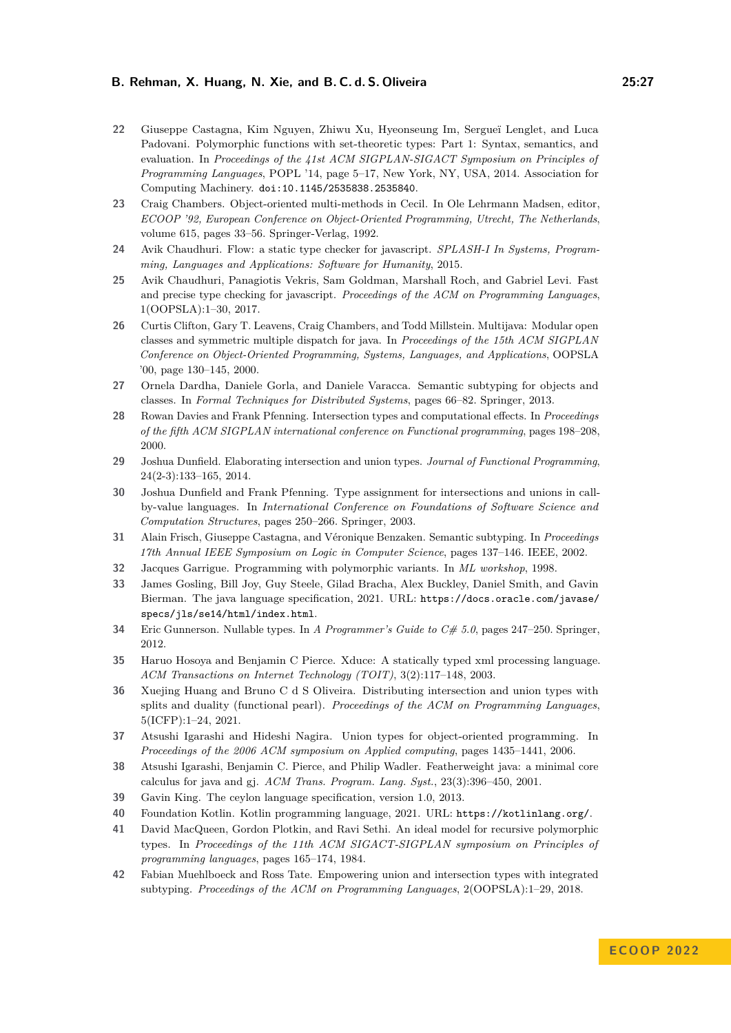- <span id="page-26-5"></span>**22** Giuseppe Castagna, Kim Nguyen, Zhiwu Xu, Hyeonseung Im, Sergueï Lenglet, and Luca Padovani. Polymorphic functions with set-theoretic types: Part 1: Syntax, semantics, and evaluation. In *Proceedings of the 41st ACM SIGPLAN-SIGACT Symposium on Principles of Programming Languages*, POPL '14, page 5–17, New York, NY, USA, 2014. Association for Computing Machinery. [doi:10.1145/2535838.2535840](https://doi.org/10.1145/2535838.2535840).
- <span id="page-26-19"></span>**23** Craig Chambers. Object-oriented multi-methods in Cecil. In Ole Lehrmann Madsen, editor, *ECOOP '92, European Conference on Object-Oriented Programming, Utrecht, The Netherlands*, volume 615, pages 33–56. Springer-Verlag, 1992.
- <span id="page-26-1"></span>**24** Avik Chaudhuri. Flow: a static type checker for javascript. *SPLASH-I In Systems, Programming, Languages and Applications: Software for Humanity*, 2015.
- <span id="page-26-18"></span>**25** Avik Chaudhuri, Panagiotis Vekris, Sam Goldman, Marshall Roch, and Gabriel Levi. Fast and precise type checking for javascript. *Proceedings of the ACM on Programming Languages*, 1(OOPSLA):1–30, 2017.
- <span id="page-26-20"></span>**26** Curtis Clifton, Gary T. Leavens, Craig Chambers, and Todd Millstein. Multijava: Modular open classes and symmetric multiple dispatch for java. In *Proceedings of the 15th ACM SIGPLAN Conference on Object-Oriented Programming, Systems, Languages, and Applications*, OOPSLA '00, page 130–145, 2000.
- <span id="page-26-16"></span>**27** Ornela Dardha, Daniele Gorla, and Daniele Varacca. Semantic subtyping for objects and classes. In *Formal Techniques for Distributed Systems*, pages 66–82. Springer, 2013.
- <span id="page-26-11"></span>**28** Rowan Davies and Frank Pfenning. Intersection types and computational effects. In *Proceedings of the fifth ACM SIGPLAN international conference on Functional programming*, pages 198–208, 2000.
- <span id="page-26-4"></span>**29** Joshua Dunfield. Elaborating intersection and union types. *Journal of Functional Programming*, 24(2-3):133–165, 2014.
- <span id="page-26-10"></span>**30** Joshua Dunfield and Frank Pfenning. Type assignment for intersections and unions in callby-value languages. In *International Conference on Foundations of Software Science and Computation Structures*, pages 250–266. Springer, 2003.
- <span id="page-26-15"></span>**31** Alain Frisch, Giuseppe Castagna, and Véronique Benzaken. Semantic subtyping. In *Proceedings 17th Annual IEEE Symposium on Logic in Computer Science*, pages 137–146. IEEE, 2002.
- <span id="page-26-0"></span>**32** Jacques Garrigue. Programming with polymorphic variants. In *ML workshop*, 1998.
- <span id="page-26-8"></span>**33** James Gosling, Bill Joy, Guy Steele, Gilad Bracha, Alex Buckley, Daniel Smith, and Gavin Bierman. The java language specification, 2021. URL: [https://docs.oracle.com/javase/](https://docs.oracle.com/javase/specs/jls/se14/html/index.html) [specs/jls/se14/html/index.html](https://docs.oracle.com/javase/specs/jls/se14/html/index.html).
- <span id="page-26-3"></span>**34** Eric Gunnerson. Nullable types. In *A Programmer's Guide to C# 5.0*, pages 247–250. Springer, 2012.
- <span id="page-26-13"></span>**35** Haruo Hosoya and Benjamin C Pierce. Xduce: A statically typed xml processing language. *ACM Transactions on Internet Technology (TOIT)*, 3(2):117–148, 2003.
- <span id="page-26-7"></span>**36** Xuejing Huang and Bruno C d S Oliveira. Distributing intersection and union types with splits and duality (functional pearl). *Proceedings of the ACM on Programming Languages*, 5(ICFP):1–24, 2021.
- <span id="page-26-14"></span>**37** Atsushi Igarashi and Hideshi Nagira. Union types for object-oriented programming. In *Proceedings of the 2006 ACM symposium on Applied computing*, pages 1435–1441, 2006.
- <span id="page-26-12"></span>**38** Atsushi Igarashi, Benjamin C. Pierce, and Philip Wadler. Featherweight java: a minimal core calculus for java and gj. *ACM Trans. Program. Lang. Syst.*, 23(3):396–450, 2001.
- <span id="page-26-2"></span>**39** Gavin King. The ceylon language specification, version 1.0, 2013.
- <span id="page-26-17"></span>**40** Foundation Kotlin. Kotlin programming language, 2021. URL: <https://kotlinlang.org/>.
- <span id="page-26-9"></span>**41** David MacQueen, Gordon Plotkin, and Ravi Sethi. An ideal model for recursive polymorphic types. In *Proceedings of the 11th ACM SIGACT-SIGPLAN symposium on Principles of programming languages*, pages 165–174, 1984.
- <span id="page-26-6"></span>**42** Fabian Muehlboeck and Ross Tate. Empowering union and intersection types with integrated subtyping. *Proceedings of the ACM on Programming Languages*, 2(OOPSLA):1–29, 2018.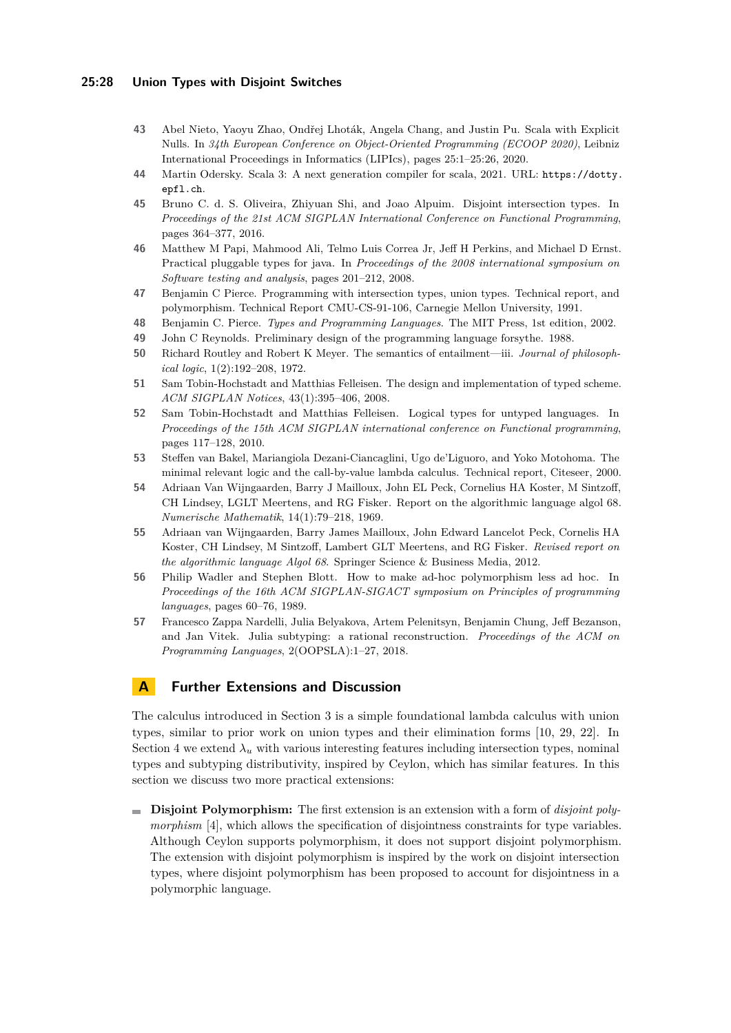#### **25:28 Union Types with Disjoint Switches**

- <span id="page-27-4"></span>**43** Abel Nieto, Yaoyu Zhao, Ondřej Lhoták, Angela Chang, and Justin Pu. Scala with Explicit Nulls. In *34th European Conference on Object-Oriented Programming (ECOOP 2020)*, Leibniz International Proceedings in Informatics (LIPIcs), pages 25:1–25:26, 2020.
- <span id="page-27-3"></span>**44** Martin Odersky. Scala 3: A next generation compiler for scala, 2021. URL: [https://dotty.](https://dotty.epfl.ch) [epfl.ch](https://dotty.epfl.ch).
- <span id="page-27-5"></span>**45** Bruno C. d. S. Oliveira, Zhiyuan Shi, and Joao Alpuim. Disjoint intersection types. In *Proceedings of the 21st ACM SIGPLAN International Conference on Functional Programming*, pages 364–377, 2016.
- <span id="page-27-13"></span>**46** Matthew M Papi, Mahmood Ali, Telmo Luis Correa Jr, Jeff H Perkins, and Michael D Ernst. Practical pluggable types for java. In *Proceedings of the 2008 international symposium on Software testing and analysis*, pages 201–212, 2008.
- <span id="page-27-7"></span>**47** Benjamin C Pierce. Programming with intersection types, union types. Technical report, and polymorphism. Technical Report CMU-CS-91-106, Carnegie Mellon University, 1991.
- <span id="page-27-2"></span>**48** Benjamin C. Pierce. *Types and Programming Languages*. The MIT Press, 1st edition, 2002.
- <span id="page-27-6"></span>**49** John C Reynolds. Preliminary design of the programming language forsythe. 1988.
- <span id="page-27-9"></span>**50** Richard Routley and Robert K Meyer. The semantics of entailment—iii. *Journal of philosophical logic*, 1(2):192–208, 1972.
- <span id="page-27-11"></span>**51** Sam Tobin-Hochstadt and Matthias Felleisen. The design and implementation of typed scheme. *ACM SIGPLAN Notices*, 43(1):395–406, 2008.
- <span id="page-27-12"></span>**52** Sam Tobin-Hochstadt and Matthias Felleisen. Logical types for untyped languages. In *Proceedings of the 15th ACM SIGPLAN international conference on Functional programming*, pages 117–128, 2010.
- <span id="page-27-10"></span>**53** Steffen van Bakel, Mariangiola Dezani-Ciancaglini, Ugo de'Liguoro, and Yoko Motohoma. The minimal relevant logic and the call-by-value lambda calculus. Technical report, Citeseer, 2000.
- <span id="page-27-0"></span>**54** Adriaan Van Wijngaarden, Barry J Mailloux, John EL Peck, Cornelius HA Koster, M Sintzoff, CH Lindsey, LGLT Meertens, and RG Fisker. Report on the algorithmic language algol 68. *Numerische Mathematik*, 14(1):79–218, 1969.
- <span id="page-27-1"></span>**55** Adriaan van Wijngaarden, Barry James Mailloux, John Edward Lancelot Peck, Cornelis HA Koster, CH Lindsey, M Sintzoff, Lambert GLT Meertens, and RG Fisker. *Revised report on the algorithmic language Algol 68*. Springer Science & Business Media, 2012.
- <span id="page-27-14"></span>**56** Philip Wadler and Stephen Blott. How to make ad-hoc polymorphism less ad hoc. In *Proceedings of the 16th ACM SIGPLAN-SIGACT symposium on Principles of programming languages*, pages 60–76, 1989.
- <span id="page-27-8"></span>**57** Francesco Zappa Nardelli, Julia Belyakova, Artem Pelenitsyn, Benjamin Chung, Jeff Bezanson, and Jan Vitek. Julia subtyping: a rational reconstruction. *Proceedings of the ACM on Programming Languages*, 2(OOPSLA):1–27, 2018.

# **A Further Extensions and Discussion**

The calculus introduced in Section [3](#page-9-0) is a simple foundational lambda calculus with union types, similar to prior work on union types and their elimination forms [\[10,](#page-25-2) [29,](#page-26-4) [22\]](#page-26-5). In Section [4](#page-15-0) we extend  $\lambda_u$  with various interesting features including intersection types, nominal types and subtyping distributivity, inspired by Ceylon, which has similar features. In this section we discuss two more practical extensions:

**Disjoint Polymorphism:** The first extension is an extension with a form of *disjoint polymorphism* [\[4\]](#page-25-8), which allows the specification of disjointness constraints for type variables. Although Ceylon supports polymorphism, it does not support disjoint polymorphism. The extension with disjoint polymorphism is inspired by the work on disjoint intersection types, where disjoint polymorphism has been proposed to account for disjointness in a polymorphic language.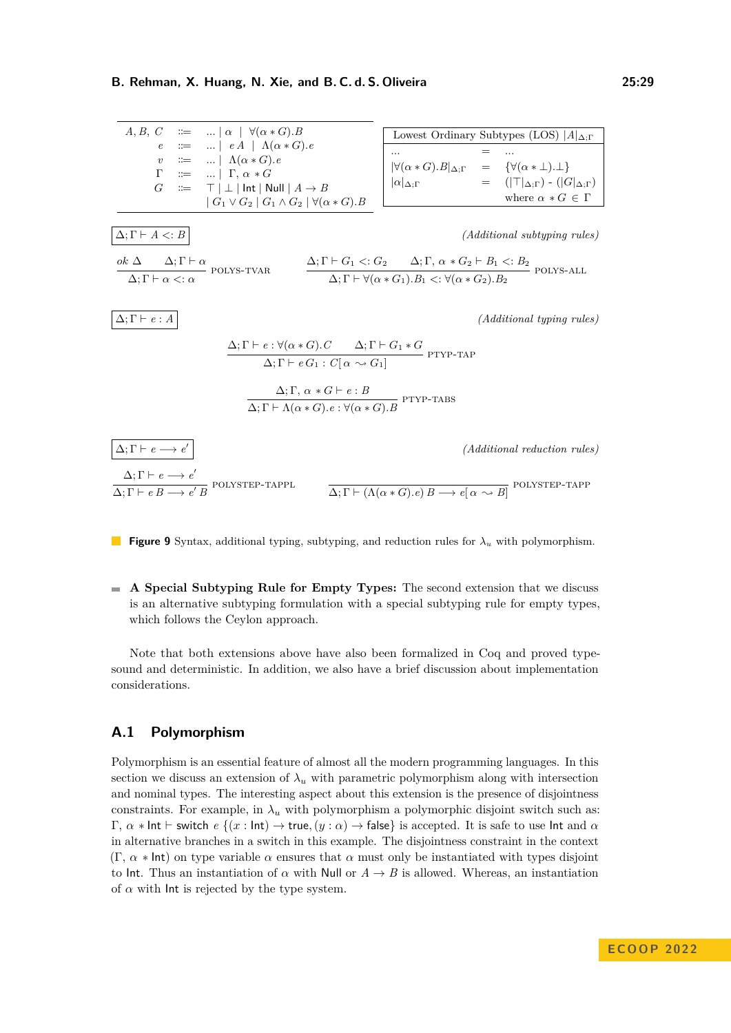<span id="page-28-2"></span><span id="page-28-1"></span><span id="page-28-0"></span>

| $A, B, C$ := ...   $\alpha$   $\forall (\alpha * G).B$                                                                                                                         | Lowest Ordinary Subtypes (LOS) $ A _{\Delta; \Gamma}$                                                                                                                                                              |                                                       |
|--------------------------------------------------------------------------------------------------------------------------------------------------------------------------------|--------------------------------------------------------------------------------------------------------------------------------------------------------------------------------------------------------------------|-------------------------------------------------------|
| $e$ := ...   $eA$   $\Lambda(\alpha * G).e$                                                                                                                                    | = ...                                                                                                                                                                                                              |                                                       |
| $v$ := ...   $\Gamma, \alpha * G$                                                                                                                                              | = ...                                                                                                                                                                                                              |                                                       |
| $\Gamma$ := ...   $\Gamma, \alpha * G$                                                                                                                                         | $ \forall (\alpha * G).B _{\Delta; \Gamma}$ = { $\forall (\alpha \pm \bot). \bot$ }<br>where $\alpha * G \in \Gamma$                                                                                               |                                                       |
| $\Delta; \Gamma \vdash A \leq B$                                                                                                                                               | $(A$ $d$ $\Delta; \Gamma \vdash \alpha$ $\forall \alpha * G$ $\bot$ $ \alpha _{\Delta; \Gamma}$                                                                                                                    | $( T _{\Delta; \Gamma}) \cdot ( G _{\Delta; \Gamma})$ |
| $\Delta; \Gamma \vdash A \leq B$                                                                                                                                               | $(A$ $d$ $\Delta; \Gamma \vdash \alpha$ $\forall \alpha * G$ $\bot$ $\Delta$ $\forall \Gamma \vdash \alpha * G$ $\bot$ $\Delta$ $\forall \Gamma \vdash \forall (\alpha * G_1).B_1 \leq \forall (\alpha * G_2).B_2$ |                                                       |
| $\Delta; \Gamma \vdash e : \alpha$ $\Rightarrow \alpha$ $\Gamma \vdash \alpha$ $\Rightarrow \alpha$ $\Gamma \vdash \forall (\alpha * G_1).B_1 \leq \forall (\alpha * G_2).B_2$ |                                                                                                                                                                                                                    |                                                       |
| $\Delta; \Gamma \vdash e : A$                                                                                                                                                  | $(A$ $d$ $\land$ $\forall \alpha * G$ $\bot$ $\exists \alpha$ $\Gamma \vdash \alpha * G$ $\forall (\alpha * G_1).B_1 \leq \forall (\alpha * G_2).B_2$                                                              |                                                       |

<span id="page-28-6"></span><span id="page-28-5"></span><span id="page-28-4"></span><span id="page-28-3"></span>**Figure 9** Syntax, additional typing, subtyping, and reduction rules for *λ<sup>u</sup>* with polymorphism.

**A Special Subtyping Rule for Empty Types:** The second extension that we discuss is an alternative subtyping formulation with a special subtyping rule for empty types, which follows the Ceylon approach.

Note that both extensions above have also been formalized in Coq and proved typesound and deterministic. In addition, we also have a brief discussion about implementation considerations.

## **A.1 Polymorphism**

Polymorphism is an essential feature of almost all the modern programming languages. In this section we discuss an extension of  $\lambda_u$  with parametric polymorphism along with intersection and nominal types. The interesting aspect about this extension is the presence of disjointness constraints. For example, in  $\lambda_u$  with polymorphism a polymorphic disjoint switch such as:  $Γ, α * Int ⊢ switch *e* {(*x* : Int) → true, (*y* : α) → false} is accepted. It is safe to use Int and α$ in alternative branches in a switch in this example. The disjointness constraint in the context  $(\Gamma, \alpha * \text{Int})$  on type variable  $\alpha$  ensures that  $\alpha$  must only be instantiated with types disjoint to Int. Thus an instantiation of  $\alpha$  with Null or  $A \rightarrow B$  is allowed. Whereas, an instantiation of  $\alpha$  with lnt is rejected by the type system.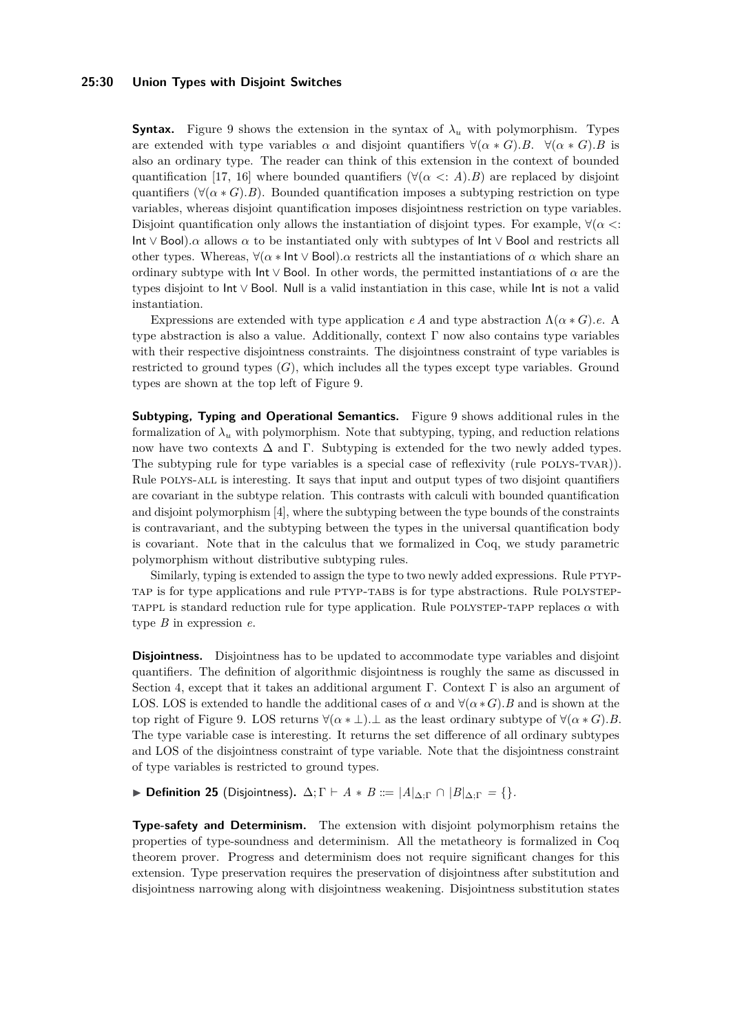#### **25:30 Union Types with Disjoint Switches**

**Syntax.** Figure [9](#page-28-0) shows the extension in the syntax of  $\lambda_u$  with polymorphism. Types are extended with type variables  $\alpha$  and disjoint quantifiers  $\forall (\alpha * G) . B$ .  $\forall (\alpha * G) . B$  is also an ordinary type. The reader can think of this extension in the context of bounded quantification [\[17,](#page-25-19) [16\]](#page-25-20) where bounded quantifiers ( $\forall (\alpha \leq A).B$ ) are replaced by disjoint quantifiers ( $\forall (\alpha * G)$ ). Bounded quantification imposes a subtyping restriction on type variables, whereas disjoint quantification imposes disjointness restriction on type variables. Disjoint quantification only allows the instantiation of disjoint types. For example,  $\forall (\alpha \leq \beta)$ Int  $\vee$  Bool). $\alpha$  allows  $\alpha$  to be instantiated only with subtypes of Int  $\vee$  Bool and restricts all other types. Whereas,  $\forall (\alpha * \text{Int} \vee \text{Bool})$ *. a* restricts all the instantiations of  $\alpha$  which share an ordinary subtype with  $\mathsf{Int} \vee \mathsf{Bool}$ . In other words, the permitted instantiations of  $\alpha$  are the types disjoint to Int ∨ Bool. Null is a valid instantiation in this case, while Int is not a valid instantiation.

Expressions are extended with type application *e A* and type abstraction  $\Lambda(\alpha * G)$ *.e.* A type abstraction is also a value. Additionally, context  $\Gamma$  now also contains type variables with their respective disjointness constraints. The disjointness constraint of type variables is restricted to ground types  $(G)$ , which includes all the types except type variables. Ground types are shown at the top left of Figure [9.](#page-28-0)

**Subtyping, Typing and Operational Semantics.** Figure [9](#page-28-0) shows additional rules in the formalization of  $\lambda_u$  with polymorphism. Note that subtyping, typing, and reduction relations now have two contexts  $\Delta$  and  $\Gamma$ . Subtyping is extended for the two newly added types. The subtyping rule for type variables is a special case of reflexivity (rule POLYS-TVAR)). Rule [polys-all](#page-28-2) is interesting. It says that input and output types of two disjoint quantifiers are covariant in the subtype relation. This contrasts with calculi with bounded quantification and disjoint polymorphism [\[4\]](#page-25-8), where the subtyping between the type bounds of the constraints is contravariant, and the subtyping between the types in the universal quantification body is covariant. Note that in the calculus that we formalized in Coq, we study parametric polymorphism without distributive subtyping rules.

Similarly, typing is extended to assign the type to two newly added expressions. Rule PTYP[tap](#page-28-3) is for type applications and rule [ptyp-tabs](#page-28-4) is for type abstractions. Rule [polystep-](#page-28-5)TAPPL is standard reduction rule for type application. Rule POLYSTEP-TAPP replaces  $\alpha$  with type *B* in expression *e*.

**Disjointness.** Disjointness has to be updated to accommodate type variables and disjoint quantifiers. The definition of algorithmic disjointness is roughly the same as discussed in Section [4,](#page-15-0) except that it takes an additional argument  $\Gamma$ . Context  $\Gamma$  is also an argument of LOS. LOS is extended to handle the additional cases of  $\alpha$  and  $\forall (\alpha * G)$ *. B* and is shown at the top right of Figure [9.](#page-28-0) LOS returns  $\forall (\alpha * \bot)$ .  $\bot$  as the least ordinary subtype of  $\forall (\alpha * G)$ . *B*. The type variable case is interesting. It returns the set difference of all ordinary subtypes and LOS of the disjointness constraint of type variable. Note that the disjointness constraint of type variables is restricted to ground types.

 $\triangleright$  **Definition 25** (Disjointness).  $\Delta; \Gamma \vdash A * B ::= |A|_{\Delta; \Gamma} \cap |B|_{\Delta; \Gamma} = \{\}.$ 

**Type-safety and Determinism.** The extension with disjoint polymorphism retains the properties of type-soundness and determinism. All the metatheory is formalized in Coq theorem prover. Progress and determinism does not require significant changes for this extension. Type preservation requires the preservation of disjointness after substitution and disjointness narrowing along with disjointness weakening. Disjointness substitution states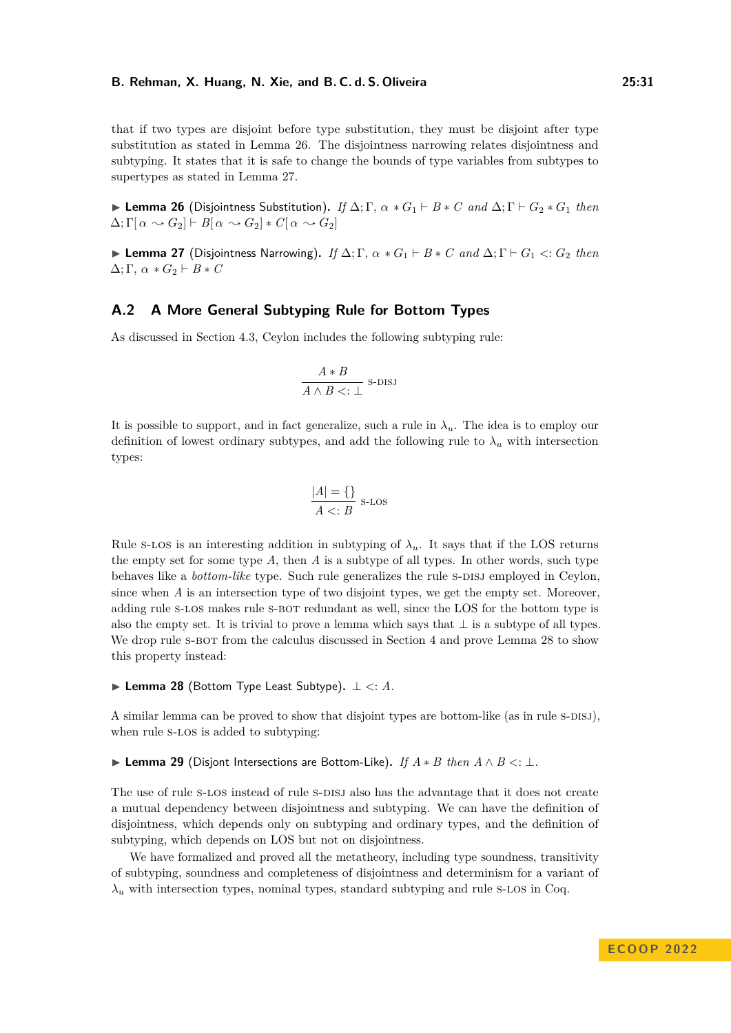that if two types are disjoint before type substitution, they must be disjoint after type substitution as stated in Lemma [26.](#page-30-0) The disjointness narrowing relates disjointness and subtyping. It states that it is safe to change the bounds of type variables from subtypes to supertypes as stated in Lemma [27.](#page-30-1)

<span id="page-30-0"></span> $\blacktriangleright$  **Lemma 26** (Disjointness Substitution). *If*  $\Delta$ ; Γ,  $\alpha * G_1 \vdash B * C$  *and*  $\Delta$ ; Γ  $\vdash G_2 * G_1$  *then*  $\Delta; \Gamma[\alpha \sim G_2] \vdash B[\alpha \sim G_2] * C[\alpha \sim G_2]$ 

<span id="page-30-1"></span> $\blacktriangleright$  **Lemma 27** (Disjointness Narrowing). *If*  $\Delta$ ; Γ,  $\alpha * G_1 \vdash B * C$  *and*  $\Delta$ ; Γ  $\vdash G_1 \lt: G_2$  *then*  $\Delta$ ; Γ, α  $* G_2 \vdash B * C$ 

#### **A.2 A More General Subtyping Rule for Bottom Types**

As discussed in Section [4.3,](#page-19-2) Ceylon includes the following subtyping rule:

$$
\frac{A*B}{A\wedge B<:\perp} \text{ s-DISJ}
$$

It is possible to support, and in fact generalize, such a rule in  $\lambda_u$ . The idea is to employ our definition of lowest ordinary subtypes, and add the following rule to  $\lambda_u$  with intersection types:

<span id="page-30-2"></span>
$$
\frac{|A| = \{\}}{A < : B} \text{ s-Los}
$$

Rule s-LOS is an interesting addition in subtyping of  $\lambda_u$ . It says that if the LOS returns the empty set for some type *A*, then *A* is a subtype of all types. In other words, such type behaves like a *bottom-like* type. Such rule generalizes the rule s-DISJ employed in Ceylon, since when *A* is an intersection type of two disjoint types, we get the empty set. Moreover, adding rule [s-los](#page-30-2) makes rule [s-bot](#page-10-2) redundant as well, since the LOS for the bottom type is also the empty set. It is trivial to prove a lemma which says that  $\perp$  is a subtype of all types. We drop rule s-BOT from the calculus discussed in Section [4](#page-15-0) and prove Lemma [28](#page-30-3) to show this property instead:

<span id="page-30-3"></span>I **Lemma 28** (Bottom Type Least Subtype)**.** ⊥ *<*: *A.*

A similar lemma can be proved to show that disjoint types are bottom-like (as in rule  $s$ -DISJ), when rule s-LOS is added to subtyping:

I **Lemma 29** (Disjont Intersections are Bottom-Like)**.** *If A* ∗ *B then A* ∧ *B <*: ⊥*.*

The use of rule s-LOS instead of rule s-DISJ also has the advantage that it does not create a mutual dependency between disjointness and subtyping. We can have the definition of disjointness, which depends only on subtyping and ordinary types, and the definition of subtyping, which depends on LOS but not on disjointness.

We have formalized and proved all the metatheory, including type soundness, transitivity of subtyping, soundness and completeness of disjointness and determinism for a variant of  $\lambda$ <sup>*u*</sup> with intersection types, nominal types, standard subtyping and rule s-LOS in Coq.